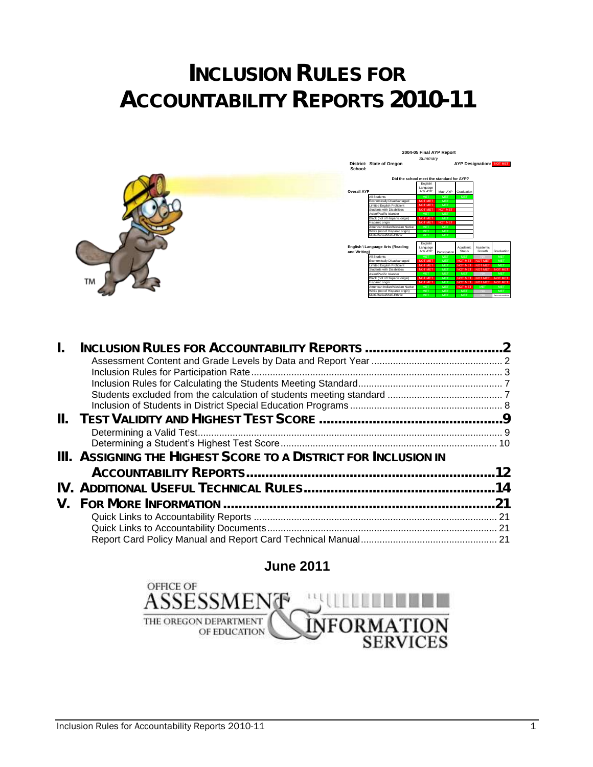# **INCLUSION RULES FOR ACCOUNTABILITY REPORTS 2010-11**

|    | 2004-05 Final AYP Report |                                           |                                  |                     |                    |                                 |                    |
|----|--------------------------|-------------------------------------------|----------------------------------|---------------------|--------------------|---------------------------------|--------------------|
|    | Summary                  |                                           |                                  |                     |                    |                                 |                    |
|    | School:                  | District: State of Oregon                 |                                  |                     |                    | <b>AYP Designation: NOT MET</b> |                    |
|    |                          | Did the school meet the standard for AYP? |                                  |                     |                    |                                 |                    |
|    | Overall AYP              |                                           | English\<br>Language<br>Arts AYP | Math AYP Graduation |                    |                                 |                    |
|    |                          | All Students                              | <b>MET</b>                       | <b>MET</b>          | <b>MET</b>         |                                 |                    |
|    |                          | Economically Disadvantaged                | <b>NOT MET</b>                   | <b>MET</b>          |                    |                                 |                    |
|    |                          | <b>Limited English Proficient</b>         | <b>NOT MET</b>                   | MET                 |                    |                                 |                    |
|    |                          | Students with Disabilities                | <b>NOT MET</b>                   | NOT MET             |                    |                                 |                    |
|    |                          | Asian/Pacific Islander                    | <b>MET</b>                       | MET                 |                    |                                 |                    |
|    |                          | Black (not of Hispanic origin)            | <b>NOT MET</b>                   | <b>MET</b>          |                    |                                 |                    |
|    |                          | Hispanic origin                           | <b>NOT MET</b>                   | NOT MET             |                    |                                 |                    |
|    |                          | American Indian/Alaskan Native            | MET.                             | <b>MET</b>          |                    |                                 |                    |
|    |                          | White (not of Hispanic origin)            | MET.                             | <b>MET</b>          |                    |                                 |                    |
|    |                          | Multi-Racial/Multi-Ethnic                 | <b>MET</b>                       | <b>MET</b>          |                    |                                 |                    |
|    | and Writing)             | English \ Language Arts (Reading          | English\<br>Language<br>Arts AYP | Participation       | Academic<br>Status | Academic<br>Growth              | Graduation         |
|    |                          | All Students                              | MET.                             | <b>MET</b>          | <b>MET</b>         |                                 | <b>MET</b>         |
|    |                          | Economically Disadvantaged                | <b>NOT MET</b>                   | MET                 | NOT MET            | <b>NOT MET</b>                  | MET                |
|    |                          | <b>Limited English Proficient</b>         | <b>NOT MET</b>                   | MET                 | <b>NOT MET</b>     | NOT MET                         | <b>MET</b>         |
|    |                          | Students with Disabilities                | <b>NOT MET</b>                   | <b>MET</b>          | NOT MET            | <b>NOT MET</b>                  | NOT MET            |
|    |                          | Asian/Pacific Islander                    | MET.                             | <b>MET</b>          | <b>MET</b>         |                                 | <b>MET</b>         |
| TМ |                          | Black (not of Hispanic origin)            | <b>NOT MET</b>                   | <b>MET</b>          |                    | NOT MET NOT MET                 | NOT MET            |
|    |                          | Hispanic origin                           | <b>NOT MET</b>                   | <b>MET</b>          | <b>NOT MET</b>     | NOT MET                         | NOT MET            |
|    |                          | American Indian/Alaskan Native            | MET.                             | MET                 | NOT MET            | <b>MET</b>                      | <b>MET</b>         |
|    |                          | White (not of Hispanic origin)            | MET.                             | MET                 | MET                |                                 | <b>MET</b>         |
|    |                          | Multi-Racial/Multi-Ethnic                 | MET.                             | <b>MET</b>          | <b>MET</b>         |                                 | Data not available |

|    | III. ASSIGNING THE HIGHEST SCORE TO A DISTRICT FOR INCLUSION IN |  |
|----|-----------------------------------------------------------------|--|
|    |                                                                 |  |
|    |                                                                 |  |
| V. |                                                                 |  |
|    |                                                                 |  |
|    |                                                                 |  |
|    |                                                                 |  |

**June 2011**

OFFICE OF  $111$ **ASSESSMENT** THE OREGON DEPARTMENT OF EDUCATION INFORMATION<br>SERVICES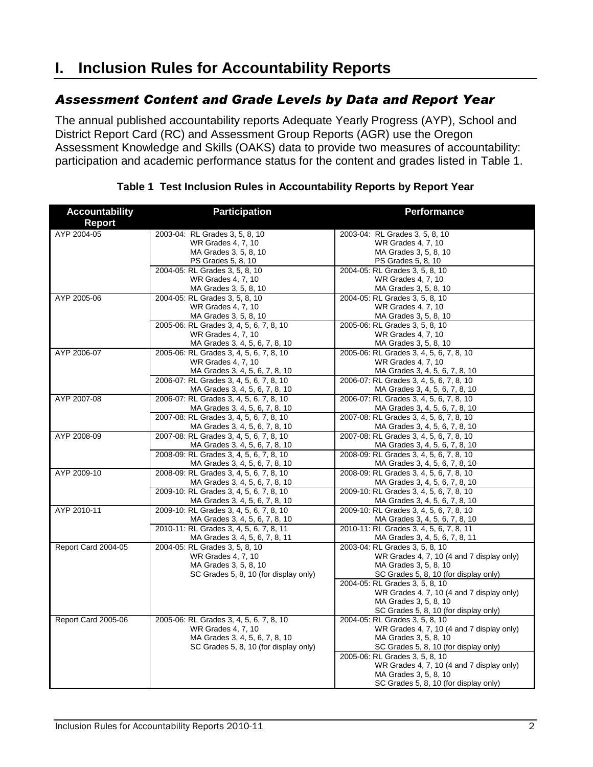## <span id="page-1-0"></span>**I. Inclusion Rules for Accountability Reports**

### <span id="page-1-1"></span>*Assessment Content and Grade Levels by Data and Report Year*

The annual published accountability reports Adequate Yearly Progress (AYP), School and District Report Card (RC) and Assessment Group Reports (AGR) use the Oregon Assessment Knowledge and Skills (OAKS) data to provide two measures of accountability: participation and academic performance status for the content and grades listed in [Table 1.](#page-1-2)

<span id="page-1-2"></span>

| <b>Accountability</b><br><b>Report</b> | <b>Participation</b>                                    | <b>Performance</b>                                      |
|----------------------------------------|---------------------------------------------------------|---------------------------------------------------------|
|                                        |                                                         |                                                         |
| AYP 2004-05                            | 2003-04: RL Grades 3, 5, 8, 10                          | 2003-04: RL Grades 3, 5, 8, 10                          |
|                                        | WR Grades 4, 7, 10                                      | WR Grades 4, 7, 10                                      |
|                                        | MA Grades 3, 5, 8, 10                                   | MA Grades 3, 5, 8, 10                                   |
|                                        | PS Grades 5, 8, 10                                      | PS Grades 5, 8, 10                                      |
|                                        | 2004-05: RL Grades 3, 5, 8, 10                          | 2004-05: RL Grades 3, 5, 8, 10                          |
|                                        | WR Grades 4, 7, 10                                      | WR Grades 4, 7, 10                                      |
| AYP 2005-06                            | MA Grades 3, 5, 8, 10<br>2004-05: RL Grades 3, 5, 8, 10 | MA Grades 3, 5, 8, 10<br>2004-05: RL Grades 3, 5, 8, 10 |
|                                        | WR Grades 4, 7, 10                                      | WR Grades 4, 7, 10                                      |
|                                        | MA Grades 3, 5, 8, 10                                   | MA Grades 3, 5, 8, 10                                   |
|                                        | 2005-06: RL Grades 3, 4, 5, 6, 7, 8, 10                 | 2005-06: RL Grades 3, 5, 8, 10                          |
|                                        | WR Grades 4, 7, 10                                      | WR Grades 4, 7, 10                                      |
|                                        | MA Grades 3, 4, 5, 6, 7, 8, 10                          | MA Grades 3, 5, 8, 10                                   |
| AYP 2006-07                            | 2005-06: RL Grades 3, 4, 5, 6, 7, 8, 10                 | 2005-06: RL Grades 3, 4, 5, 6, 7, 8, 10                 |
|                                        | WR Grades 4, 7, 10                                      | WR Grades 4, 7, 10                                      |
|                                        | MA Grades 3, 4, 5, 6, 7, 8, 10                          | MA Grades 3, 4, 5, 6, 7, 8, 10                          |
|                                        | 2006-07: RL Grades 3, 4, 5, 6, 7, 8, 10                 | 2006-07: RL Grades 3, 4, 5, 6, 7, 8, 10                 |
|                                        | MA Grades 3, 4, 5, 6, 7, 8, 10                          | MA Grades 3, 4, 5, 6, 7, 8, 10                          |
| AYP 2007-08                            | 2006-07: RL Grades 3, 4, 5, 6, 7, 8, 10                 | 2006-07: RL Grades 3, 4, 5, 6, 7, 8, 10                 |
|                                        | MA Grades 3, 4, 5, 6, 7, 8, 10                          | MA Grades 3, 4, 5, 6, 7, 8, 10                          |
|                                        | 2007-08: RL Grades 3, 4, 5, 6, 7, 8, 10                 | 2007-08: RL Grades 3, 4, 5, 6, 7, 8, 10                 |
|                                        | MA Grades 3, 4, 5, 6, 7, 8, 10                          | MA Grades 3, 4, 5, 6, 7, 8, 10                          |
| AYP 2008-09                            | 2007-08: RL Grades 3, 4, 5, 6, 7, 8, 10                 | 2007-08: RL Grades 3, 4, 5, 6, 7, 8, 10                 |
|                                        | MA Grades 3, 4, 5, 6, 7, 8, 10                          | MA Grades 3, 4, 5, 6, 7, 8, 10                          |
|                                        | 2008-09: RL Grades 3, 4, 5, 6, 7, 8, 10                 | 2008-09: RL Grades 3, 4, 5, 6, 7, 8, 10                 |
|                                        | MA Grades 3, 4, 5, 6, 7, 8, 10                          | MA Grades 3, 4, 5, 6, 7, 8, 10                          |
| AYP 2009-10                            | 2008-09: RL Grades 3, 4, 5, 6, 7, 8, 10                 | 2008-09: RL Grades 3, 4, 5, 6, 7, 8, 10                 |
|                                        | MA Grades 3, 4, 5, 6, 7, 8, 10                          | MA Grades 3, 4, 5, 6, 7, 8, 10                          |
|                                        | 2009-10: RL Grades 3, 4, 5, 6, 7, 8, 10                 | 2009-10: RL Grades 3, 4, 5, 6, 7, 8, 10                 |
|                                        | MA Grades 3, 4, 5, 6, 7, 8, 10                          | MA Grades 3, 4, 5, 6, 7, 8, 10                          |
| AYP 2010-11                            | 2009-10: RL Grades 3, 4, 5, 6, 7, 8, 10                 | 2009-10: RL Grades 3, 4, 5, 6, 7, 8, 10                 |
|                                        | MA Grades 3, 4, 5, 6, 7, 8, 10                          | MA Grades 3, 4, 5, 6, 7, 8, 10                          |
|                                        | 2010-11: RL Grades 3, 4, 5, 6, 7, 8, 11                 | 2010-11: RL Grades 3, 4, 5, 6, 7, 8, 11                 |
|                                        | MA Grades 3, 4, 5, 6, 7, 8, 11                          | MA Grades 3, 4, 5, 6, 7, 8, 11                          |
| Report Card 2004-05                    | 2004-05: RL Grades 3, 5, 8, 10                          | 2003-04: RL Grades 3, 5, 8, 10                          |
|                                        | WR Grades 4, 7, 10                                      | WR Grades 4, 7, 10 (4 and 7 display only)               |
|                                        | MA Grades 3, 5, 8, 10                                   | MA Grades 3, 5, 8, 10                                   |
|                                        | SC Grades 5, 8, 10 (for display only)                   | SC Grades 5, 8, 10 (for display only)                   |
|                                        |                                                         | 2004-05: RL Grades 3, 5, 8, 10                          |
|                                        |                                                         | WR Grades 4, 7, 10 (4 and 7 display only)               |
|                                        |                                                         | MA Grades 3, 5, 8, 10                                   |
|                                        |                                                         | SC Grades 5, 8, 10 (for display only)                   |
| Report Card 2005-06                    | 2005-06: RL Grades 3, 4, 5, 6, 7, 8, 10                 | 2004-05: RL Grades 3, 5, 8, 10                          |
|                                        | WR Grades 4, 7, 10                                      | WR Grades 4, 7, 10 (4 and 7 display only)               |
|                                        | MA Grades 3, 4, 5, 6, 7, 8, 10                          | MA Grades 3, 5, 8, 10                                   |
|                                        | SC Grades 5, 8, 10 (for display only)                   | SC Grades 5, 8, 10 (for display only)                   |
|                                        |                                                         | 2005-06: RL Grades 3, 5, 8, 10                          |
|                                        |                                                         | WR Grades 4, 7, 10 (4 and 7 display only)               |
|                                        |                                                         | MA Grades 3, 5, 8, 10                                   |
|                                        |                                                         | SC Grades 5, 8, 10 (for display only)                   |

**Table 1 Test Inclusion Rules in Accountability Reports by Report Year**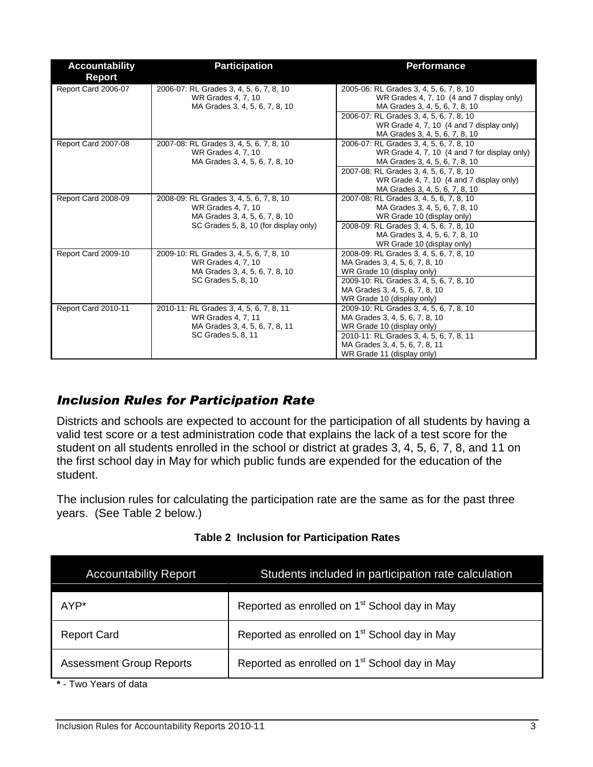| <b>Accountability</b><br>Report | <b>Participation</b>                                                                            | <b>Performance</b>                                                                                                        |
|---------------------------------|-------------------------------------------------------------------------------------------------|---------------------------------------------------------------------------------------------------------------------------|
| Report Card 2006-07             | 2006-07: RL Grades 3, 4, 5, 6, 7, 8, 10<br>WR Grades 4, 7, 10<br>MA Grades 3, 4, 5, 6, 7, 8, 10 | 2005-06: RL Grades 3, 4, 5, 6, 7, 8, 10<br>WR Grades 4, 7, 10 (4 and 7 display only)<br>MA Grades 3, 4, 5, 6, 7, 8, 10    |
|                                 |                                                                                                 | 2006-07: RL Grades 3, 4, 5, 6, 7, 8, 10<br>WR Grade 4, 7, 10 (4 and 7 display only)<br>MA Grades 3, 4, 5, 6, 7, 8, 10     |
| Report Card 2007-08             | 2007-08: RL Grades 3, 4, 5, 6, 7, 8, 10<br>WR Grades 4, 7, 10<br>MA Grades 3, 4, 5, 6, 7, 8, 10 | 2006-07: RL Grades 3, 4, 5, 6, 7, 8, 10<br>WR Grade 4, 7, 10 (4 and 7 for display only)<br>MA Grades 3, 4, 5, 6, 7, 8, 10 |
|                                 |                                                                                                 | 2007-08: RL Grades 3, 4, 5, 6, 7, 8, 10<br>WR Grade 4, 7, 10 (4 and 7 display only)<br>MA Grades 3, 4, 5, 6, 7, 8, 10     |
| Report Card 2008-09             | 2008-09: RL Grades 3, 4, 5, 6, 7, 8, 10<br>WR Grades 4, 7, 10<br>MA Grades 3, 4, 5, 6, 7, 8, 10 | 2007-08: RL Grades 3, 4, 5, 6, 7, 8, 10<br>MA Grades 3, 4, 5, 6, 7, 8, 10<br>WR Grade 10 (display only)                   |
|                                 | SC Grades 5, 8, 10 (for display only)                                                           | 2008-09: RL Grades 3, 4, 5, 6, 7, 8, 10<br>MA Grades 3, 4, 5, 6, 7, 8, 10<br>WR Grade 10 (display only)                   |
| Report Card 2009-10             | 2009-10: RL Grades 3, 4, 5, 6, 7, 8, 10<br>WR Grades 4, 7, 10<br>MA Grades 3, 4, 5, 6, 7, 8, 10 | 2008-09: RL Grades 3, 4, 5, 6, 7, 8, 10<br>MA Grades 3, 4, 5, 6, 7, 8, 10<br>WR Grade 10 (display only)                   |
|                                 | SC Grades 5, 8, 10                                                                              | 2009-10: RL Grades 3, 4, 5, 6, 7, 8, 10<br>MA Grades 3, 4, 5, 6, 7, 8, 10<br>WR Grade 10 (display only)                   |
| Report Card 2010-11             | 2010-11: RL Grades 3, 4, 5, 6, 7, 8, 11<br>WR Grades 4, 7, 11<br>MA Grades 3, 4, 5, 6, 7, 8, 11 | 2009-10: RL Grades 3, 4, 5, 6, 7, 8, 10<br>MA Grades 3, 4, 5, 6, 7, 8, 10<br>WR Grade 10 (display only)                   |
|                                 | SC Grades 5, 8, 11                                                                              | 2010-11: RL Grades 3, 4, 5, 6, 7, 8, 11<br>MA Grades 3, 4, 5, 6, 7, 8, 11<br>WR Grade 11 (display only)                   |

### <span id="page-2-0"></span>*Inclusion Rules for Participation Rate*

Districts and schools are expected to account for the participation of all students by having a valid test score or a test administration code that explains the lack of a test score for the student on all students enrolled in the school or district at grades 3, 4, 5, 6, 7, 8, and 11 on the first school day in May for which public funds are expended for the education of the student.

The inclusion rules for calculating the participation rate are the same as for the past three years. (See [Table 2](#page-2-1) below.)

<span id="page-2-1"></span>

| <b>Accountability Report</b>    | Students included in participation rate calculation       |
|---------------------------------|-----------------------------------------------------------|
| AYP*                            | Reported as enrolled on 1 <sup>st</sup> School day in May |
| <b>Report Card</b>              | Reported as enrolled on 1 <sup>st</sup> School day in May |
| <b>Assessment Group Reports</b> | Reported as enrolled on 1 <sup>st</sup> School day in May |

#### **Table 2 Inclusion for Participation Rates**

**\*** - Two Years of data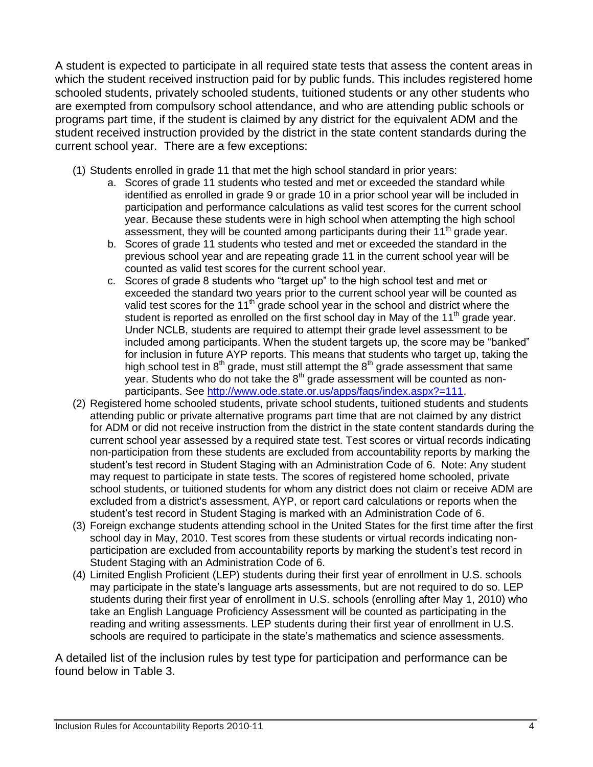A student is expected to participate in all required state tests that assess the content areas in which the student received instruction paid for by public funds. This includes registered home schooled students, privately schooled students, tuitioned students or any other students who are exempted from compulsory school attendance, and who are attending public schools or programs part time, if the student is claimed by any district for the equivalent ADM and the student received instruction provided by the district in the state content standards during the current school year. There are a few exceptions:

- (1) Students enrolled in grade 11 that met the high school standard in prior years:
	- a. Scores of grade 11 students who tested and met or exceeded the standard while identified as enrolled in grade 9 or grade 10 in a prior school year will be included in participation and performance calculations as valid test scores for the current school year. Because these students were in high school when attempting the high school assessment, they will be counted among participants during their  $11<sup>th</sup>$  grade year.
	- b. Scores of grade 11 students who tested and met or exceeded the standard in the previous school year and are repeating grade 11 in the current school year will be counted as valid test scores for the current school year.
	- c. Scores of grade 8 students who "target up" to the high school test and met or exceeded the standard two years prior to the current school year will be counted as valid test scores for the 11<sup>th</sup> grade school year in the school and district where the student is reported as enrolled on the first school day in May of the 11<sup>th</sup> grade year. Under NCLB, students are required to attempt their grade level assessment to be included among participants. When the student targets up, the score may be "banked" for inclusion in future AYP reports. This means that students who target up, taking the high school test in  $8<sup>th</sup>$  grade, must still attempt the  $8<sup>th</sup>$  grade assessment that same year. Students who do not take the  $8<sup>th</sup>$  grade assessment will be counted as nonparticipants. See [http://www.ode.state.or.us/apps/faqs/index.aspx?=111.](http://www.ode.state.or.us/apps/faqs/index.aspx?=111)
- (2) Registered home schooled students, private school students, tuitioned students and students attending public or private alternative programs part time that are not claimed by any district for ADM or did not receive instruction from the district in the state content standards during the current school year assessed by a required state test. Test scores or virtual records indicating non-participation from these students are excluded from accountability reports by marking the student"s test record in Student Staging with an Administration Code of 6. Note: Any student may request to participate in state tests. The scores of registered home schooled, private school students, or tuitioned students for whom any district does not claim or receive ADM are excluded from a district's assessment, AYP, or report card calculations or reports when the student"s test record in Student Staging is marked with an Administration Code of 6.
- (3) Foreign exchange students attending school in the United States for the first time after the first school day in May, 2010. Test scores from these students or virtual records indicating nonparticipation are excluded from accountability reports by marking the student"s test record in Student Staging with an Administration Code of 6.
- (4) Limited English Proficient (LEP) students during their first year of enrollment in U.S. schools may participate in the state"s language arts assessments, but are not required to do so. LEP students during their first year of enrollment in U.S. schools (enrolling after May 1, 2010) who take an English Language Proficiency Assessment will be counted as participating in the reading and writing assessments. LEP students during their first year of enrollment in U.S. schools are required to participate in the state"s mathematics and science assessments.

A detailed list of the inclusion rules by test type for participation and performance can be found below in Table 3.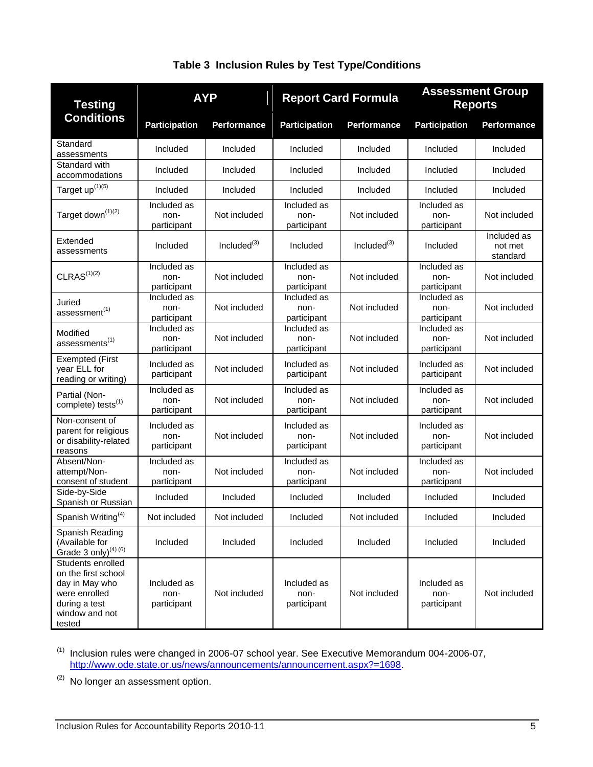| <b>Testing</b>                                                                                                           |                                    | <b>Assessment Group</b><br><b>AYP</b><br><b>Report Card Formula</b><br><b>Reports</b> |                                    |                   |                                    |                                    |
|--------------------------------------------------------------------------------------------------------------------------|------------------------------------|---------------------------------------------------------------------------------------|------------------------------------|-------------------|------------------------------------|------------------------------------|
| <b>Conditions</b>                                                                                                        | <b>Participation</b>               | Performance                                                                           | <b>Participation</b>               | Performance       | <b>Participation</b>               | Performance                        |
| Standard<br>assessments                                                                                                  | Included                           | Included                                                                              | Included                           | Included          | Included                           | Included                           |
| Standard with<br>accommodations                                                                                          | Included                           | Included                                                                              | Included                           | Included          | Included                           | Included                           |
| Target up <sup>(1)(5)</sup>                                                                                              | Included                           | Included                                                                              | Included                           | Included          | Included                           | Included                           |
| Target down <sup>(1)(2)</sup>                                                                                            | Included as<br>non-<br>participant | Not included                                                                          | Included as<br>non-<br>participant | Not included      | Included as<br>non-<br>participant | Not included                       |
| Extended<br>assessments                                                                                                  | Included                           | Included $^{(3)}$                                                                     | Included                           | Included $^{(3)}$ | Included                           | Included as<br>not met<br>standard |
| CLRAS <sup>(1)(2)</sup>                                                                                                  | Included as<br>non-<br>participant | Not included                                                                          | Included as<br>non-<br>participant | Not included      | Included as<br>non-<br>participant | Not included                       |
| Juried<br>assessment <sup>(1)</sup>                                                                                      | Included as<br>non-<br>participant | Not included                                                                          | Included as<br>non-<br>participant | Not included      | Included as<br>non-<br>participant | Not included                       |
| Modified<br>assessments <sup>(1)</sup>                                                                                   | Included as<br>non-<br>participant | Not included                                                                          | Included as<br>non-<br>participant | Not included      | Included as<br>non-<br>participant | Not included                       |
| <b>Exempted (First</b><br>year ELL for<br>reading or writing)                                                            | Included as<br>participant         | Not included                                                                          | Included as<br>participant         | Not included      | Included as<br>participant         | Not included                       |
| Partial (Non-<br>complete) tests <sup>(1)</sup>                                                                          | Included as<br>non-<br>participant | Not included                                                                          | Included as<br>non-<br>participant | Not included      | Included as<br>non-<br>participant | Not included                       |
| Non-consent of<br>parent for religious<br>or disability-related<br>reasons                                               | Included as<br>non-<br>participant | Not included                                                                          | Included as<br>non-<br>participant | Not included      | Included as<br>non-<br>participant | Not included                       |
| Absent/Non-<br>attempt/Non-<br>consent of student                                                                        | Included as<br>non-<br>participant | Not included                                                                          | Included as<br>non-<br>participant | Not included      | Included as<br>non-<br>participant | Not included                       |
| Side-by-Side<br>Spanish or Russian                                                                                       | Included                           | Included                                                                              | Included                           | Included          | Included                           | Included                           |
| Spanish Writing <sup>(4)</sup>                                                                                           | Not included                       | Not included                                                                          | Included                           | Not included      | Included                           | Included                           |
| Spanish Reading<br>(Available for<br>Grade 3 only) <sup>(4) (6)</sup>                                                    | Included                           | Included                                                                              | Included                           | Included          | Included                           | Included                           |
| Students enrolled<br>on the first school<br>day in May who<br>were enrolled<br>during a test<br>window and not<br>tested | Included as<br>non-<br>participant | Not included                                                                          | Included as<br>non-<br>participant | Not included      | Included as<br>non-<br>participant | Not included                       |

#### **Table 3 Inclusion Rules by Test Type/Conditions**

 $(1)$  Inclusion rules were changed in 2006-07 school year. See Executive Memorandum 004-2006-07, [http://www.ode.state.or.us/news/announcements/announcement.aspx?=1698.](http://www.ode.state.or.us/news/announcements/announcement.aspx?=1698)

<sup>(2)</sup> No longer an assessment option.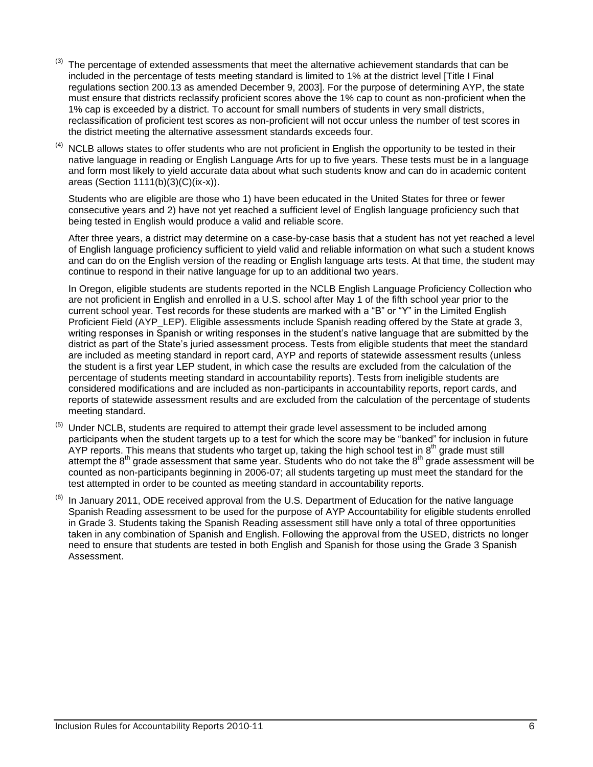- The percentage of extended assessments that meet the alternative achievement standards that can be included in the percentage of tests meeting standard is limited to 1% at the district level [Title I Final regulations section 200.13 as amended December 9, 2003]. For the purpose of determining AYP, the state must ensure that districts reclassify proficient scores above the 1% cap to count as non-proficient when the 1% cap is exceeded by a district. To account for small numbers of students in very small districts, reclassification of proficient test scores as non-proficient will not occur unless the number of test scores in the district meeting the alternative assessment standards exceeds four.
- $<sup>(4)</sup>$  NCLB allows states to offer students who are not proficient in English the opportunity to be tested in their</sup> native language in reading or English Language Arts for up to five years. These tests must be in a language and form most likely to yield accurate data about what such students know and can do in academic content areas (Section 1111(b)(3)(C)(ix-x)).

Students who are eligible are those who 1) have been educated in the United States for three or fewer consecutive years and 2) have not yet reached a sufficient level of English language proficiency such that being tested in English would produce a valid and reliable score.

After three years, a district may determine on a case-by-case basis that a student has not yet reached a level of English language proficiency sufficient to yield valid and reliable information on what such a student knows and can do on the English version of the reading or English language arts tests. At that time, the student may continue to respond in their native language for up to an additional two years.

In Oregon, eligible students are students reported in the NCLB English Language Proficiency Collection who are not proficient in English and enrolled in a U.S. school after May 1 of the fifth school year prior to the current school year. Test records for these students are marked with a "B" or "Y" in the Limited English Proficient Field (AYP\_LEP). Eligible assessments include Spanish reading offered by the State at grade 3, writing responses in Spanish or writing responses in the student"s native language that are submitted by the district as part of the State"s juried assessment process. Tests from eligible students that meet the standard are included as meeting standard in report card, AYP and reports of statewide assessment results (unless the student is a first year LEP student, in which case the results are excluded from the calculation of the percentage of students meeting standard in accountability reports). Tests from ineligible students are considered modifications and are included as non-participants in accountability reports, report cards, and reports of statewide assessment results and are excluded from the calculation of the percentage of students meeting standard.

- $<sup>(5)</sup>$  Under NCLB, students are required to attempt their grade level assessment to be included among</sup> participants when the student targets up to a test for which the score may be "banked" for inclusion in future AYP reports. This means that students who target up, taking the high school test in 8<sup>th</sup> grade must still AYP reports. attempt the  $8<sup>th</sup>$  grade assessment that same year. Students who do not take the  $8<sup>th</sup>$  grade assessment will be counted as non-participants beginning in 2006-07; all students targeting up must meet the standard for the test attempted in order to be counted as meeting standard in accountability reports.
- (6) In January 2011, ODE received approval from the U.S. Department of Education for the native language Spanish Reading assessment to be used for the purpose of AYP Accountability for eligible students enrolled in Grade 3. Students taking the Spanish Reading assessment still have only a total of three opportunities taken in any combination of Spanish and English. Following the approval from the USED, districts no longer need to ensure that students are tested in both English and Spanish for those using the Grade 3 Spanish Assessment.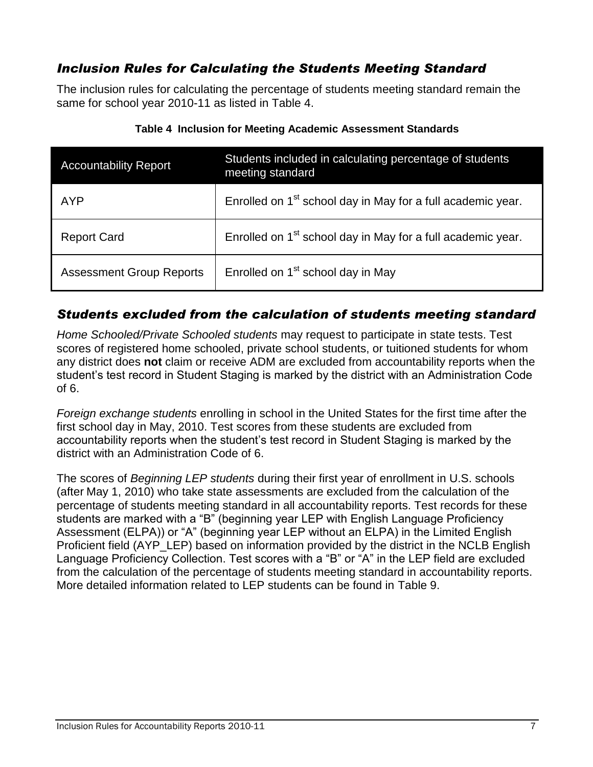### <span id="page-6-0"></span>*Inclusion Rules for Calculating the Students Meeting Standard*

The inclusion rules for calculating the percentage of students meeting standard remain the same for school year 2010-11 as listed in [Table 4.](#page-6-2)

<span id="page-6-2"></span>

| <b>Accountability Report</b>    | Students included in calculating percentage of students<br>meeting standard |
|---------------------------------|-----------------------------------------------------------------------------|
| <b>AYP</b>                      | Enrolled on 1 <sup>st</sup> school day in May for a full academic year.     |
| <b>Report Card</b>              | Enrolled on 1 <sup>st</sup> school day in May for a full academic year.     |
| <b>Assessment Group Reports</b> | Enrolled on 1 <sup>st</sup> school day in May                               |

#### **Table 4 Inclusion for Meeting Academic Assessment Standards**

#### <span id="page-6-1"></span>*Students excluded from the calculation of students meeting standard*

*Home Schooled/Private Schooled students* may request to participate in state tests. Test scores of registered home schooled, private school students, or tuitioned students for whom any district does **not** claim or receive ADM are excluded from accountability reports when the student"s test record in Student Staging is marked by the district with an Administration Code of 6.

*Foreign exchange students* enrolling in school in the United States for the first time after the first school day in May, 2010. Test scores from these students are excluded from accountability reports when the student"s test record in Student Staging is marked by the district with an Administration Code of 6.

The scores of *Beginning LEP students* during their first year of enrollment in U.S. schools (after May 1, 2010) who take state assessments are excluded from the calculation of the percentage of students meeting standard in all accountability reports. Test records for these students are marked with a "B" (beginning year LEP with English Language Proficiency Assessment (ELPA)) or "A" (beginning year LEP without an ELPA) in the Limited English Proficient field (AYP LEP) based on information provided by the district in the NCLB English Language Proficiency Collection. Test scores with a "B" or "A" in the LEP field are excluded from the calculation of the percentage of students meeting standard in accountability reports. More detailed information related to LEP students can be found in [Table 9.](#page-13-1)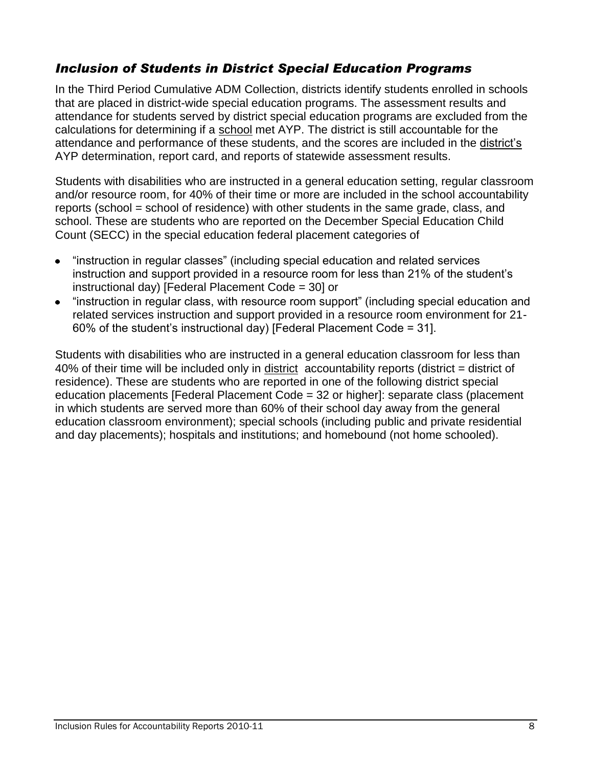### <span id="page-7-0"></span>*Inclusion of Students in District Special Education Programs*

In the Third Period Cumulative ADM Collection, districts identify students enrolled in schools that are placed in district-wide special education programs. The assessment results and attendance for students served by district special education programs are excluded from the calculations for determining if a school met AYP. The district is still accountable for the attendance and performance of these students, and the scores are included in the district"s AYP determination, report card, and reports of statewide assessment results.

Students with disabilities who are instructed in a general education setting, regular classroom and/or resource room, for 40% of their time or more are included in the school accountability reports (school = school of residence) with other students in the same grade, class, and school. These are students who are reported on the December Special Education Child Count (SECC) in the special education federal placement categories of

- "instruction in regular classes" (including special education and related services instruction and support provided in a resource room for less than 21% of the student"s instructional day) [Federal Placement Code = 30] or
- "instruction in regular class, with resource room support" (including special education and related services instruction and support provided in a resource room environment for 21- 60% of the student"s instructional day) [Federal Placement Code = 31].

Students with disabilities who are instructed in a general education classroom for less than 40% of their time will be included only in district accountability reports (district = district of residence). These are students who are reported in one of the following district special education placements [Federal Placement Code = 32 or higher]: separate class (placement in which students are served more than 60% of their school day away from the general education classroom environment); special schools (including public and private residential and day placements); hospitals and institutions; and homebound (not home schooled).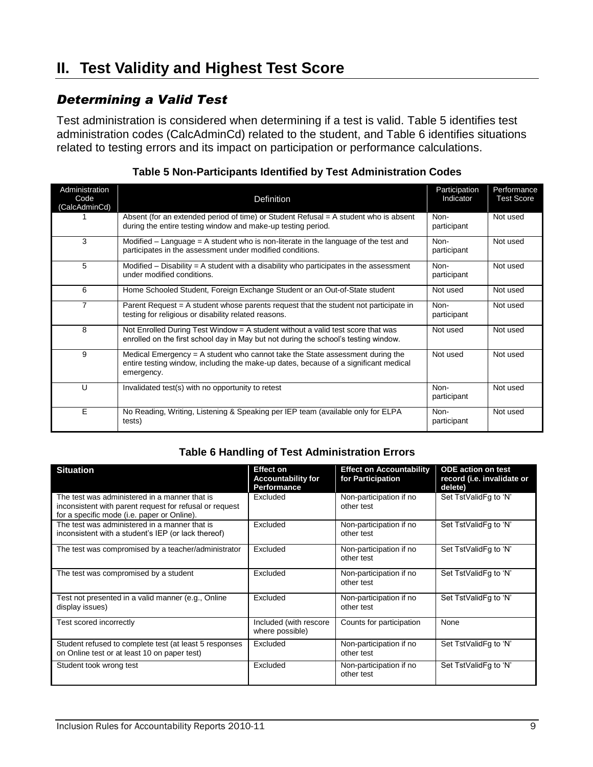## <span id="page-8-0"></span>**II. Test Validity and Highest Test Score**

### <span id="page-8-1"></span>*Determining a Valid Test*

Test administration is considered when determining if a test is valid. [Table 5](#page-8-2) identifies test administration codes (CalcAdminCd) related to the student, and Table 6 identifies situations related to testing errors and its impact on participation or performance calculations.

<span id="page-8-2"></span>

| Administration<br>Code<br>(CalcAdminCd) | <b>Definition</b>                                                                                                                                                                   | Participation<br>Indicator | Performance<br><b>Test Score</b> |
|-----------------------------------------|-------------------------------------------------------------------------------------------------------------------------------------------------------------------------------------|----------------------------|----------------------------------|
|                                         | Absent (for an extended period of time) or Student Refusal = A student who is absent<br>during the entire testing window and make-up testing period.                                | Non-<br>participant        | Not used                         |
| 3                                       | Modified $-$ Language $=$ A student who is non-literate in the language of the test and<br>participates in the assessment under modified conditions.                                | Non-<br>participant        | Not used                         |
| 5                                       | Modified $-$ Disability $=$ A student with a disability who participates in the assessment<br>under modified conditions.                                                            | Non-<br>participant        | Not used                         |
| 6                                       | Home Schooled Student, Foreign Exchange Student or an Out-of-State student                                                                                                          | Not used                   | Not used                         |
| 7                                       | Parent Request $= A$ student whose parents request that the student not participate in<br>testing for religious or disability related reasons.                                      | Non-<br>participant        | Not used                         |
| 8                                       | Not Enrolled During Test Window = A student without a valid test score that was<br>enrolled on the first school day in May but not during the school's testing window.              | Not used                   | Not used                         |
| 9                                       | Medical Emergency = A student who cannot take the State assessment during the<br>entire testing window, including the make-up dates, because of a significant medical<br>emergency. | Not used                   | Not used                         |
| U                                       | Invalidated test(s) with no opportunity to retest                                                                                                                                   | Non-<br>participant        | Not used                         |
| E                                       | No Reading, Writing, Listening & Speaking per IEP team (available only for ELPA<br>tests)                                                                                           | Non-<br>participant        | Not used                         |

#### **Table 5 Non-Participants Identified by Test Administration Codes**

#### **Table 6 Handling of Test Administration Errors**

| <b>Situation</b>                                                                                                                                        | <b>Effect on</b><br><b>Accountability for</b><br>Performance | <b>Effect on Accountability</b><br>for Participation | <b>ODE</b> action on test<br>record (i.e. invalidate or<br>delete) |
|---------------------------------------------------------------------------------------------------------------------------------------------------------|--------------------------------------------------------------|------------------------------------------------------|--------------------------------------------------------------------|
| The test was administered in a manner that is<br>inconsistent with parent request for refusal or request<br>for a specific mode (i.e. paper or Online). | Excluded                                                     | Non-participation if no<br>other test                | Set TstValidFg to 'N'                                              |
| The test was administered in a manner that is<br>inconsistent with a student's IEP (or lack thereof)                                                    | Excluded                                                     | Non-participation if no<br>other test                | Set TstValidFg to 'N'                                              |
| The test was compromised by a teacher/administrator                                                                                                     | Excluded                                                     | Non-participation if no<br>other test                | Set TstValidFg to 'N'                                              |
| The test was compromised by a student                                                                                                                   | Excluded                                                     | Non-participation if no<br>other test                | Set TstValidFq to 'N'                                              |
| Test not presented in a valid manner (e.g., Online<br>display issues)                                                                                   | Excluded                                                     | Non-participation if no<br>other test                | Set TstValidFq to 'N'                                              |
| Test scored incorrectly                                                                                                                                 | Included (with rescore)<br>where possible)                   | Counts for participation                             | None                                                               |
| Student refused to complete test (at least 5 responses<br>on Online test or at least 10 on paper test)                                                  | Excluded                                                     | Non-participation if no<br>other test                | Set TstValidFg to 'N'                                              |
| Student took wrong test                                                                                                                                 | Excluded                                                     | Non-participation if no<br>other test                | Set TstValidFg to 'N'                                              |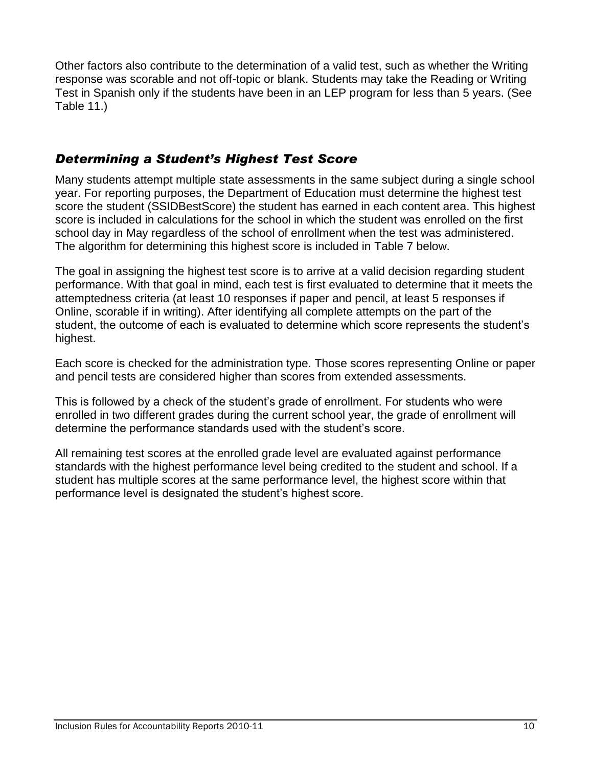Other factors also contribute to the determination of a valid test, such as whether the Writing response was scorable and not off-topic or blank. Students may take the Reading or Writing Test in Spanish only if the students have been in an LEP program for less than 5 years. (See [Table 11.](#page-15-0))

### <span id="page-9-0"></span>*Determining a Student's Highest Test Score*

Many students attempt multiple state assessments in the same subject during a single school year. For reporting purposes, the Department of Education must determine the highest test score the student (SSIDBestScore) the student has earned in each content area. This highest score is included in calculations for the school in which the student was enrolled on the first school day in May regardless of the school of enrollment when the test was administered. The algorithm for determining this highest score is included in [Table 7](#page-10-0) below.

The goal in assigning the highest test score is to arrive at a valid decision regarding student performance. With that goal in mind, each test is first evaluated to determine that it meets the attemptedness criteria (at least 10 responses if paper and pencil, at least 5 responses if Online, scorable if in writing). After identifying all complete attempts on the part of the student, the outcome of each is evaluated to determine which score represents the student"s highest.

Each score is checked for the administration type. Those scores representing Online or paper and pencil tests are considered higher than scores from extended assessments.

This is followed by a check of the student"s grade of enrollment. For students who were enrolled in two different grades during the current school year, the grade of enrollment will determine the performance standards used with the student"s score.

All remaining test scores at the enrolled grade level are evaluated against performance standards with the highest performance level being credited to the student and school. If a student has multiple scores at the same performance level, the highest score within that performance level is designated the student"s highest score.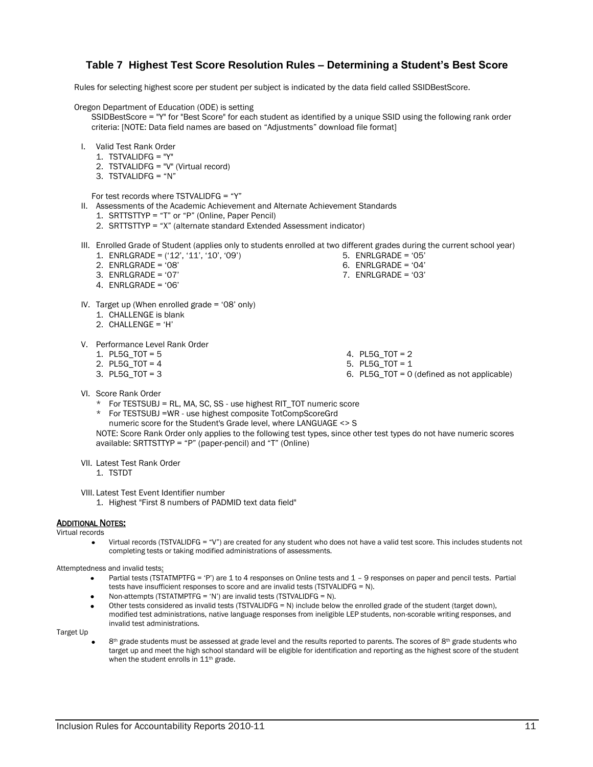#### **Table 7 Highest Test Score Resolution Rules – Determining a Student's Best Score**

<span id="page-10-0"></span>Rules for selecting highest score per student per subject is indicated by the data field called SSIDBestScore.

Oregon Department of Education (ODE) is setting

SSIDBestScore = "Y" for "Best Score" for each student as identified by a unique SSID using the following rank order criteria: [NOTE: Data field names are based on "Adjustments" download file format]

- I. Valid Test Rank Order
	- 1. TSTVALIDFG = "Y"
	- 2. TSTVALIDFG = "V" (Virtual record)
	- 3. TSTVALIDFG = "N"

For test records where TSTVALIDFG = "Y"

- II. Assessments of the Academic Achievement and Alternate Achievement Standards
	- 1. SRTTSTTYP = "T" or "P" (Online, Paper Pencil)
	- 2. SRTTSTTYP = "X" (alternate standard Extended Assessment indicator)
- III. Enrolled Grade of Student (applies only to students enrolled at two different grades during the current school year) 1. ENRLGRADE = ("12", "11", "10", "09") 5. ENRLGRADE = "05"
	- 2. ENRLGRADE = "08"
	-
	- 3. ENRLGRADE = "07"
	- 4. ENRLGRADE = "06"
- IV. Target up (When enrolled grade = "08" only)
	- 1. CHALLENGE is blank
	- 2. CHALLENGE =  $H'$
- V. Performance Level Rank Order
	- 1. PL5G\_TOT = 5
	- 2. PL5G TOT =  $4$
	- 3. PL5G\_TOT = 3

6. ENRLGRADE = "04" 7. ENRLGRADE = '03'

- 4. PL5G\_TOT = 2
- 5. PL5G\_TOT = 1
- 6. PL5G\_TOT = 0 (defined as not applicable)

- VI. Score Rank Order
	- \* For TESTSUBJ = RL, MA, SC, SS use highest RIT\_TOT numeric score
	- \* For TESTSUBJ =WR use highest composite TotCompScoreGrd
	- numeric score for the Student's Grade level, where LANGUAGE <> S

NOTE: Score Rank Order only applies to the following test types, since other test types do not have numeric scores available: SRTTSTTYP = "P" (paper-pencil) and "T" (Online)

VII. Latest Test Rank Order

1. TSTDT

VIII. Latest Test Event Identifier number

1. Highest "First 8 numbers of PADMID text data field"

#### **ADDITIONAL NOTES:**

Virtual records

Virtual records (TSTVALIDFG = "V") are created for any student who does not have a valid test score. This includes students not  $\bullet$ completing tests or taking modified administrations of assessments.

Attemptedness and invalid tests:

- Partial tests (TSTATMPTFG = 'P') are 1 to 4 responses on Online tests and 1 9 responses on paper and pencil tests. Partial  $\bullet$ tests have insufficient responses to score and are invalid tests (TSTVALIDFG = N).
- Non-attempts (TSTATMPTFG = "N") are invalid tests (TSTVALIDFG = N).
- Other tests considered as invalid tests (TSTVALIDFG = N) include below the enrolled grade of the student (target down), modified test administrations, native language responses from ineligible LEP students, non-scorable writing responses, and invalid test administrations.

Target Up

 $8<sup>th</sup>$  grade students must be assessed at grade level and the results reported to parents. The scores of  $8<sup>th</sup>$  grade students who target up and meet the high school standard will be eligible for identification and reporting as the highest score of the student when the student enrolls in 11<sup>th</sup> grade.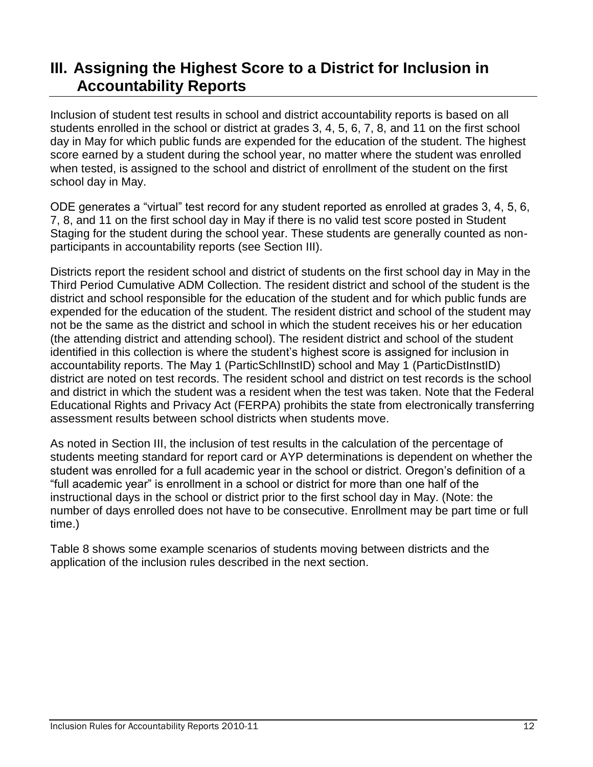## <span id="page-11-0"></span>**III. Assigning the Highest Score to a District for Inclusion in Accountability Reports**

Inclusion of student test results in school and district accountability reports is based on all students enrolled in the school or district at grades 3, 4, 5, 6, 7, 8, and 11 on the first school day in May for which public funds are expended for the education of the student. The highest score earned by a student during the school year, no matter where the student was enrolled when tested, is assigned to the school and district of enrollment of the student on the first school day in May.

ODE generates a "virtual" test record for any student reported as enrolled at grades 3, 4, 5, 6, 7, 8, and 11 on the first school day in May if there is no valid test score posted in Student Staging for the student during the school year. These students are generally counted as nonparticipants in accountability reports (see Section III).

Districts report the resident school and district of students on the first school day in May in the Third Period Cumulative ADM Collection. The resident district and school of the student is the district and school responsible for the education of the student and for which public funds are expended for the education of the student. The resident district and school of the student may not be the same as the district and school in which the student receives his or her education (the attending district and attending school). The resident district and school of the student identified in this collection is where the student"s highest score is assigned for inclusion in accountability reports. The May 1 (ParticSchlInstID) school and May 1 (ParticDistInstID) district are noted on test records. The resident school and district on test records is the school and district in which the student was a resident when the test was taken. Note that the Federal Educational Rights and Privacy Act (FERPA) prohibits the state from electronically transferring assessment results between school districts when students move.

As noted in Section III, the inclusion of test results in the calculation of the percentage of students meeting standard for report card or AYP determinations is dependent on whether the student was enrolled for a full academic year in the school or district. Oregon's definition of a "full academic year" is enrollment in a school or district for more than one half of the instructional days in the school or district prior to the first school day in May. (Note: the number of days enrolled does not have to be consecutive. Enrollment may be part time or full time.)

[Table 8](#page-12-0) shows some example scenarios of students moving between districts and the application of the inclusion rules described in the next section.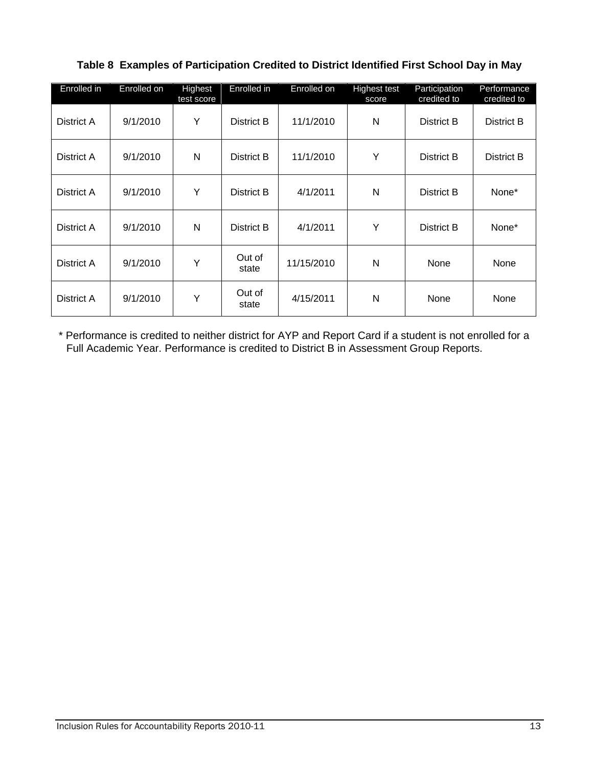| Enrolled in | Enrolled on | Highest<br>test score | Enrolled in     | Enrolled on | Highest test<br>score | Participation<br>credited to | Performance<br>credited to |
|-------------|-------------|-----------------------|-----------------|-------------|-----------------------|------------------------------|----------------------------|
| District A  | 9/1/2010    | Y                     | District B      | 11/1/2010   | N                     | District B                   | District B                 |
| District A  | 9/1/2010    | N                     | District B      | 11/1/2010   | Y                     | District B                   | District B                 |
| District A  | 9/1/2010    | Y                     | District B      | 4/1/2011    | N                     | <b>District B</b>            | None*                      |
| District A  | 9/1/2010    | N                     | District B      | 4/1/2011    | Y                     | <b>District B</b>            | None*                      |
| District A  | 9/1/2010    | Y                     | Out of<br>state | 11/15/2010  | N                     | None                         | None                       |
| District A  | 9/1/2010    | Y                     | Out of<br>state | 4/15/2011   | N                     | None                         | None                       |

<span id="page-12-0"></span>**Table 8 Examples of Participation Credited to District Identified First School Day in May**

\* Performance is credited to neither district for AYP and Report Card if a student is not enrolled for a Full Academic Year. Performance is credited to District B in Assessment Group Reports.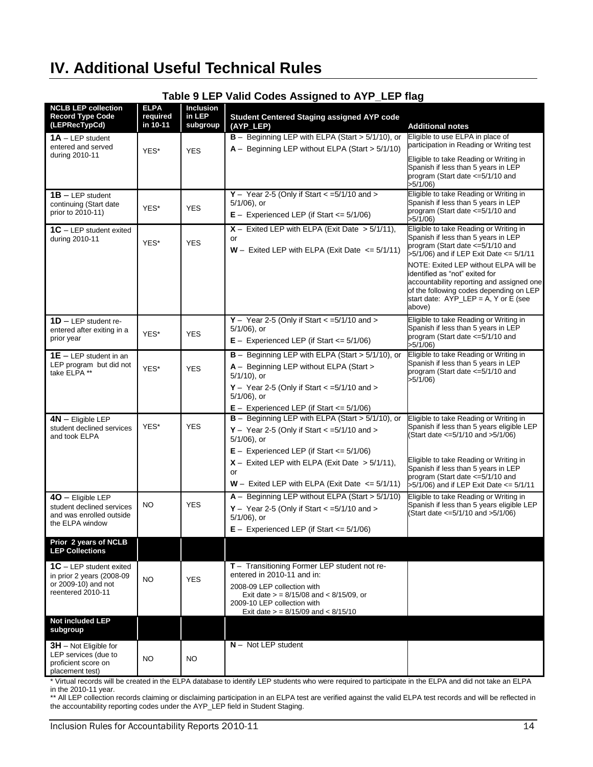## <span id="page-13-0"></span>**IV. Additional Useful Technical Rules**

<span id="page-13-1"></span>

| <b>NCLB LEP collection</b><br><b>Record Type Code</b><br>(LEPRecTypCd) | <b>ELPA</b><br>required<br>in 10-11 | Inclusion<br>in LEP<br>subgroup | <b>Student Centered Staging assigned AYP code</b><br>(AYP_LEP)                                        | <b>Additional notes</b>                                                             |
|------------------------------------------------------------------------|-------------------------------------|---------------------------------|-------------------------------------------------------------------------------------------------------|-------------------------------------------------------------------------------------|
| $1A - LEP$ student                                                     |                                     |                                 | $B -$ Beginning LEP with ELPA (Start > 5/1/10), or                                                    | Eligible to use ELPA in place of                                                    |
| entered and served<br>during 2010-11                                   | YES*                                | <b>YES</b>                      | $A -$ Beginning LEP without ELPA (Start > $5/1/10$ )                                                  | participation in Reading or Writing test<br>Eligible to take Reading or Writing in  |
|                                                                        |                                     |                                 |                                                                                                       | Spanish if less than 5 years in LEP                                                 |
|                                                                        |                                     |                                 |                                                                                                       | program (Start date <= 5/1/10 and<br>>5/1/06)                                       |
| $1B - LEP$ student                                                     |                                     |                                 | Y - Year 2-5 (Only if Start $\lt$ =5/1/10 and >                                                       | Eligible to take Reading or Writing in<br>Spanish if less than 5 years in LEP       |
| continuing (Start date<br>prior to 2010-11)                            | YES*                                | <b>YES</b>                      | $5/1/06$ ), or<br>$E -$ Experienced LEP (if Start $\leq 5/1/06$ )                                     | program (Start date <=5/1/10 and                                                    |
| $1C - LEP$ student exited                                              |                                     |                                 | $X -$ Exited LEP with ELPA (Exit Date $> 5/1/11$ ),                                                   | >5/1/06<br>Eligible to take Reading or Writing in                                   |
| during 2010-11                                                         | YES*                                | <b>YES</b>                      | or                                                                                                    | Spanish if less than 5 years in LEP<br>program (Start date <=5/1/10 and             |
|                                                                        |                                     |                                 | $W -$ Exited LEP with ELPA (Exit Date $\leq 5/1/11$ )                                                 | $>5/1/06$ ) and if LEP Exit Date <= $5/1/11$                                        |
|                                                                        |                                     |                                 |                                                                                                       | NOTE: Exited LEP without ELPA will be<br>identified as "not" exited for             |
|                                                                        |                                     |                                 |                                                                                                       | accountability reporting and assigned one                                           |
|                                                                        |                                     |                                 |                                                                                                       | of the following codes depending on LEP<br>start date: $AYP_{E}E = A$ , Y or E (see |
|                                                                        |                                     |                                 |                                                                                                       | above)                                                                              |
| $1D$ - LEP student re-<br>entered after exiting in a                   |                                     |                                 | Y - Year 2-5 (Only if Start $\lt$ =5/1/10 and $>$<br>$5/1/06$ ), or                                   | Eligible to take Reading or Writing in<br>Spanish if less than 5 years in LEP       |
| prior year                                                             | YES*                                | <b>YES</b>                      | $E -$ Experienced LEP (if Start $\leq 5/1/06$ )                                                       | program (Start date <= 5/1/10 and<br>>5/1/06                                        |
| $1E - LEP$ student in an                                               |                                     |                                 | $B -$ Beginning LEP with ELPA (Start > 5/1/10), or                                                    | Eligible to take Reading or Writing in                                              |
| LEP program but did not<br>take ELPA **                                | YES*                                | <b>YES</b>                      | A - Beginning LEP without ELPA (Start ><br>$5/1/10$ , or                                              | Spanish if less than 5 years in LEP<br>program (Start date <= 5/1/10 and            |
|                                                                        |                                     |                                 | Y - Year 2-5 (Only if Start $\lt$ =5/1/10 and $>$                                                     | >5/1/06)                                                                            |
|                                                                        |                                     |                                 | $5/1/06$ ), or                                                                                        |                                                                                     |
|                                                                        |                                     |                                 | $E -$ Experienced LEP (if Start $\leq 5/1/06$ )<br>$B -$ Beginning LEP with ELPA (Start > 5/1/10), or | Eligible to take Reading or Writing in                                              |
| $4N -$ Eligible LEP<br>student declined services                       | YES*                                | <b>YES</b>                      | Y - Year 2-5 (Only if Start $<$ =5/1/10 and >                                                         | Spanish if less than 5 years eligible LEP                                           |
| and took ELPA                                                          |                                     |                                 | $5/1/06$ ), or                                                                                        | (Start date <= 5/1/10 and > 5/1/06)                                                 |
|                                                                        |                                     |                                 | $E -$ Experienced LEP (if Start $\leq 5/1/06$ )                                                       | Eligible to take Reading or Writing in                                              |
|                                                                        |                                     |                                 | $X -$ Exited LEP with ELPA (Exit Date $> 5/1/11$ ),<br>or                                             | Spanish if less than 5 years in LEP<br>program (Start date <= 5/1/10 and            |
|                                                                        |                                     |                                 | $W -$ Exited LEP with ELPA (Exit Date $\leq 5/1/11$ )                                                 | $>5/1/06$ ) and if LEP Exit Date $\leq 5/1/11$                                      |
| $40$ - Eligible LEP                                                    | <b>NO</b>                           | <b>YES</b>                      | $A -$ Beginning LEP without ELPA (Start > 5/1/10)                                                     | Eligible to take Reading or Writing in<br>Spanish if less than 5 years eligible LEP |
| student declined services<br>and was enrolled outside                  |                                     |                                 | Y - Year 2-5 (Only if Start $<$ =5/1/10 and ><br>$5/1/06$ ), or                                       | (Start date <=5/1/10 and >5/1/06)                                                   |
| the ELPA window                                                        |                                     |                                 | $E -$ Experienced LEP (if Start $\leq 5/1/06$ )                                                       |                                                                                     |
| Prior 2 years of NCLB<br><b>LEP Collections</b>                        |                                     |                                 |                                                                                                       |                                                                                     |
| $1C - LEP$ student exited                                              |                                     |                                 | T - Transitioning Former LEP student not re-                                                          |                                                                                     |
| in prior 2 years (2008-09<br>or 2009-10) and not                       | NO.                                 | <b>YES</b>                      | entered in 2010-11 and in:<br>2008-09 LEP collection with                                             |                                                                                     |
| reentered 2010-11                                                      |                                     |                                 | Exit date $>$ = 8/15/08 and < 8/15/09, or                                                             |                                                                                     |
|                                                                        |                                     |                                 | 2009-10 LEP collection with<br>Exit date $>$ = 8/15/09 and < 8/15/10                                  |                                                                                     |
| <b>Not included LEP</b><br>subgroup                                    |                                     |                                 |                                                                                                       |                                                                                     |
| $3H - Not$ Eligible for                                                |                                     |                                 | $N - Not LEP student$                                                                                 |                                                                                     |
| LEP services (due to                                                   | <b>NO</b>                           | NO.                             |                                                                                                       |                                                                                     |
| proficient score on<br>placement test)                                 |                                     |                                 |                                                                                                       |                                                                                     |

#### **Table 9 LEP Valid Codes Assigned to AYP\_LEP flag**

\* Virtual records will be created in the ELPA database to identify LEP students who were required to participate in the ELPA and did not take an ELPA in the 2010-11 year.

\*\* All LEP collection records claiming or disclaiming participation in an ELPA test are verified against the valid ELPA test records and will be reflected in the accountability reporting codes under the AYP\_LEP field in Student Staging.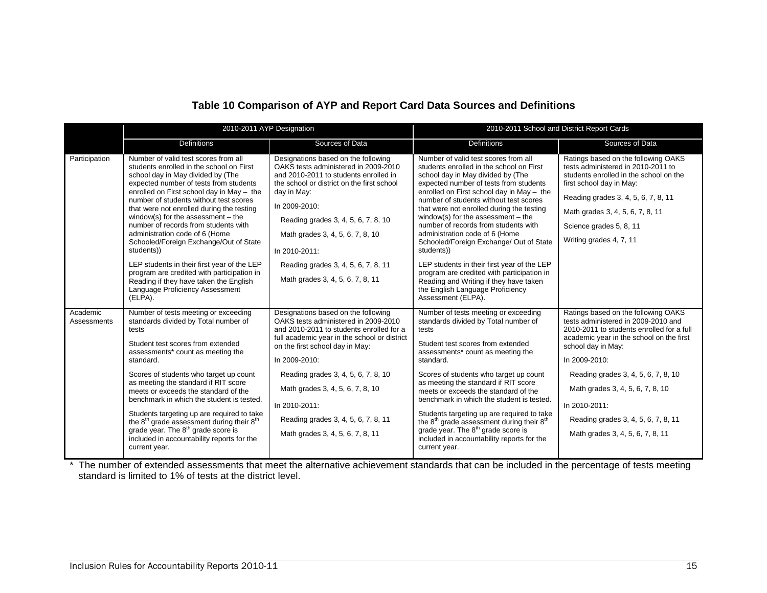#### **Table 10 Comparison of AYP and Report Card Data Sources and Definitions**

|                         |                                                                                                                                                                                                                                                                                                                                                                                                                                                                                                                                                                                                                                                                  | 2010-2011 AYP Designation                                                                                                                                                                                                                                                                                                                                                                          | 2010-2011 School and District Report Cards                                                                                                                                                                                                                                                                                                                                                                                                                                                                                                                                                                                                                                      |                                                                                                                                                                                                                                                                                                                                                                                   |  |
|-------------------------|------------------------------------------------------------------------------------------------------------------------------------------------------------------------------------------------------------------------------------------------------------------------------------------------------------------------------------------------------------------------------------------------------------------------------------------------------------------------------------------------------------------------------------------------------------------------------------------------------------------------------------------------------------------|----------------------------------------------------------------------------------------------------------------------------------------------------------------------------------------------------------------------------------------------------------------------------------------------------------------------------------------------------------------------------------------------------|---------------------------------------------------------------------------------------------------------------------------------------------------------------------------------------------------------------------------------------------------------------------------------------------------------------------------------------------------------------------------------------------------------------------------------------------------------------------------------------------------------------------------------------------------------------------------------------------------------------------------------------------------------------------------------|-----------------------------------------------------------------------------------------------------------------------------------------------------------------------------------------------------------------------------------------------------------------------------------------------------------------------------------------------------------------------------------|--|
|                         | Definitions                                                                                                                                                                                                                                                                                                                                                                                                                                                                                                                                                                                                                                                      | Sources of Data                                                                                                                                                                                                                                                                                                                                                                                    | Definitions                                                                                                                                                                                                                                                                                                                                                                                                                                                                                                                                                                                                                                                                     | Sources of Data                                                                                                                                                                                                                                                                                                                                                                   |  |
| Participation           | Number of valid test scores from all<br>students enrolled in the school on First<br>school day in May divided by (The<br>expected number of tests from students<br>enrolled on First school day in May - the<br>number of students without test scores<br>that were not enrolled during the testing<br>window(s) for the assessment - the<br>number of records from students with<br>administration code of 6 (Home<br>Schooled/Foreign Exchange/Out of State<br>students))<br>LEP students in their first year of the LEP<br>program are credited with participation in<br>Reading if they have taken the English<br>Language Proficiency Assessment<br>(ELPA). | Designations based on the following<br>OAKS tests administered in 2009-2010<br>and 2010-2011 to students enrolled in<br>the school or district on the first school<br>day in May:<br>In 2009-2010:<br>Reading grades 3, 4, 5, 6, 7, 8, 10<br>Math grades 3, 4, 5, 6, 7, 8, 10<br>In 2010-2011:<br>Reading grades 3, 4, 5, 6, 7, 8, 11<br>Math grades 3, 4, 5, 6, 7, 8, 11                          | Number of valid test scores from all<br>students enrolled in the school on First<br>school day in May divided by (The<br>expected number of tests from students<br>enrolled on First school day in May - the<br>number of students without test scores<br>that were not enrolled during the testing<br>window(s) for the assessment $-$ the<br>number of records from students with<br>administration code of 6 (Home<br>Schooled/Foreign Exchange/ Out of State<br>students))<br>LEP students in their first year of the LEP<br>program are credited with participation in<br>Reading and Writing if they have taken<br>the English Language Proficiency<br>Assessment (ELPA). | Ratings based on the following OAKS<br>tests administered in 2010-2011 to<br>students enrolled in the school on the<br>first school day in May:<br>Reading grades 3, 4, 5, 6, 7, 8, 11<br>Math grades 3, 4, 5, 6, 7, 8, 11<br>Science grades 5, 8, 11<br>Writing grades 4, 7, 11                                                                                                  |  |
| Academic<br>Assessments | Number of tests meeting or exceeding<br>standards divided by Total number of<br>tests<br>Student test scores from extended<br>assessments* count as meeting the<br>standard.<br>Scores of students who target up count<br>as meeting the standard if RIT score<br>meets or exceeds the standard of the<br>benchmark in which the student is tested.<br>Students targeting up are required to take<br>the 8 <sup>th</sup> grade assessment during their 8 <sup>th</sup><br>grade year. The $8th$ grade score is<br>included in accountability reports for the<br>current year.                                                                                    | Designations based on the following<br>OAKS tests administered in 2009-2010<br>and 2010-2011 to students enrolled for a<br>full academic year in the school or district<br>on the first school day in May:<br>In 2009-2010:<br>Reading grades 3, 4, 5, 6, 7, 8, 10<br>Math grades 3, 4, 5, 6, 7, 8, 10<br>In 2010-2011:<br>Reading grades 3, 4, 5, 6, 7, 8, 11<br>Math grades 3, 4, 5, 6, 7, 8, 11 | Number of tests meeting or exceeding<br>standards divided by Total number of<br>tests<br>Student test scores from extended<br>assessments* count as meeting the<br>standard.<br>Scores of students who target up count<br>as meeting the standard if RIT score<br>meets or exceeds the standard of the<br>benchmark in which the student is tested.<br>Students targeting up are required to take<br>the 8 <sup>th</sup> grade assessment during their 8 <sup>th</sup><br>grade year. The $8th$ grade score is<br>included in accountability reports for the<br>current year.                                                                                                   | Ratings based on the following OAKS<br>tests administered in 2009-2010 and<br>2010-2011 to students enrolled for a full<br>academic year in the school on the first<br>school day in May:<br>In 2009-2010:<br>Reading grades 3, 4, 5, 6, 7, 8, 10<br>Math grades 3, 4, 5, 6, 7, 8, 10<br>In 2010-2011:<br>Reading grades 3, 4, 5, 6, 7, 8, 11<br>Math grades 3, 4, 5, 6, 7, 8, 11 |  |

\* The number of extended assessments that meet the alternative achievement standards that can be included in the percentage of tests meeting standard is limited to 1% of tests at the district level.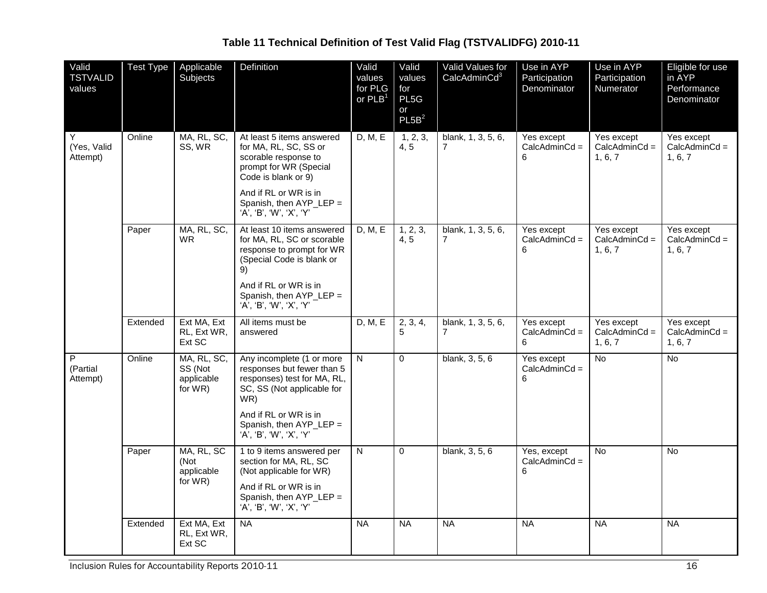<span id="page-15-0"></span>

| Valid<br><b>TSTVALID</b><br>values     | <b>Test Type</b> | Applicable<br>Subjects                          | Definition                                                                                                                                                                                                   | Valid<br>values<br>for PLG<br>or $PLB1$ | Valid<br>values<br>for<br>PL5G<br>or<br>PL5B <sup>2</sup> | Valid Values for<br>CalcAdminCd <sup>3</sup> | Use in AYP<br>Participation<br>Denominator | Use in AYP<br>Participation<br>Numerator | Eligible for use<br>in AYP<br>Performance<br>Denominator |
|----------------------------------------|------------------|-------------------------------------------------|--------------------------------------------------------------------------------------------------------------------------------------------------------------------------------------------------------------|-----------------------------------------|-----------------------------------------------------------|----------------------------------------------|--------------------------------------------|------------------------------------------|----------------------------------------------------------|
| Y<br>(Yes, Valid<br>Attempt)           | Online           | MA, RL, SC,<br>SS, WR                           | At least 5 items answered<br>for MA, RL, SC, SS or<br>scorable response to<br>prompt for WR (Special<br>Code is blank or 9)<br>And if RL or WR is in<br>Spanish, then AYP_LEP =<br>'A', 'B', 'W', 'X', 'Y'   | D, M, E                                 | 1, 2, 3,<br>4, 5                                          | blank, 1, 3, 5, 6,<br>7                      | Yes except<br>$CalcAdminCd =$<br>6         | Yes except<br>$CalcAdminCd =$<br>1, 6, 7 | Yes except<br>$CalcAdminCd =$<br>1, 6, 7                 |
|                                        | Paper            | MA, RL, SC,<br><b>WR</b>                        | At least 10 items answered<br>for MA, RL, SC or scorable<br>response to prompt for WR<br>(Special Code is blank or<br>9)<br>And if RL or WR is in<br>Spanish, then $AYP$ LEP =<br>'A', 'B', 'W', 'X', 'Y'    | D, M, E                                 | 1, 2, 3,<br>4, 5                                          | blank, 1, 3, 5, 6,<br>7                      | Yes except<br>$CalcAdminCd =$<br>6         | Yes except<br>$CalcAdminCd =$<br>1, 6, 7 | Yes except<br>$CalcAdminCd =$<br>1, 6, 7                 |
|                                        | Extended         | Ext MA, Ext<br>RL, Ext WR,<br>Ext SC            | All items must be<br>answered                                                                                                                                                                                | D, M, E                                 | 2, 3, 4,<br>5                                             | blank, 1, 3, 5, 6,<br>7                      | Yes except<br>$CalcAdminCd =$<br>6         | Yes except<br>$CalcAdminCd =$<br>1, 6, 7 | Yes except<br>$CalcAdminCd =$<br>1, 6, 7                 |
| $\overline{P}$<br>(Partial<br>Attempt) | Online           | MA, RL, SC,<br>SS (Not<br>applicable<br>for WR) | Any incomplete (1 or more<br>responses but fewer than 5<br>responses) test for MA, RL,<br>SC, SS (Not applicable for<br>WR)<br>And if RL or WR is in<br>Spanish, then $AYP$ LEP =<br>'A', 'B', 'W', 'X', 'Y' | N                                       | $\Omega$                                                  | blank, 3, 5, 6                               | Yes except<br>$CalcAdminCd =$<br>6         | $\overline{N}$                           | <b>No</b>                                                |
|                                        | Paper            | MA, RL, SC<br>(Not<br>applicable<br>for WR)     | 1 to 9 items answered per<br>section for MA, RL, SC<br>(Not applicable for WR)<br>And if RL or WR is in<br>Spanish, then AYP_LEP =<br>'A', 'B', 'W', 'X', 'Y'                                                | N                                       | $\Omega$                                                  | blank, 3, 5, 6                               | Yes, except<br>$CalcAdminCd =$<br>6        | $\overline{N}$                           | <b>No</b>                                                |
|                                        | Extended         | Ext MA, Ext<br>RL, Ext WR,<br>Ext SC            | <b>NA</b>                                                                                                                                                                                                    | <b>NA</b>                               | <b>NA</b>                                                 | <b>NA</b>                                    | <b>NA</b>                                  | <b>NA</b>                                | <b>NA</b>                                                |

## **Table 11 Technical Definition of Test Valid Flag (TSTVALIDFG) 2010-11**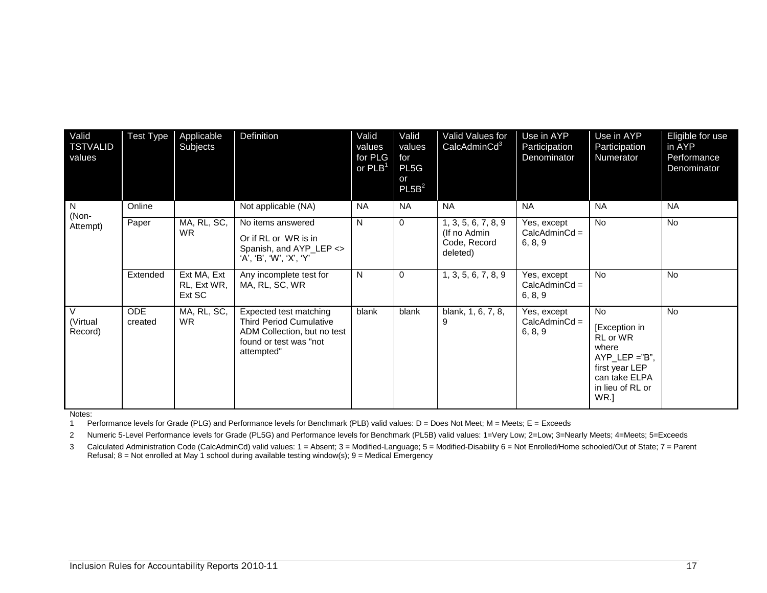| Valid<br><b>TSTVALID</b><br>values | <b>Test Type</b>      | Applicable<br>Subjects               | Definition                                                                                                                      | Valid<br>values<br>for PLG<br>or $PLB1$ | Valid<br>values<br>for<br>PL <sub>5</sub> G<br>or<br>PL5B <sup>2</sup> | Valid Values for<br>CalcAdminCd <sup>3</sup>                    | Use in AYP<br>Participation<br>Denominator | Use in AYP<br>Participation<br>Numerator                                                                                           | Eligible for use<br>in AYP<br>Performance<br>Denominator |
|------------------------------------|-----------------------|--------------------------------------|---------------------------------------------------------------------------------------------------------------------------------|-----------------------------------------|------------------------------------------------------------------------|-----------------------------------------------------------------|--------------------------------------------|------------------------------------------------------------------------------------------------------------------------------------|----------------------------------------------------------|
| N                                  | Online                |                                      | Not applicable (NA)                                                                                                             | <b>NA</b>                               | <b>NA</b>                                                              | <b>NA</b>                                                       | <b>NA</b>                                  | <b>NA</b>                                                                                                                          | <b>NA</b>                                                |
| (Non-<br>Attempt)                  | Paper                 | MA, RL, SC,<br><b>WR</b>             | No items answered<br>Or if RL or WR is in<br>Spanish, and AYP_LEP <><br>'A', 'B', 'W', 'X', 'Y'                                 | N                                       | $\Omega$                                                               | 1, 3, 5, 6, 7, 8, 9<br>(If no Admin<br>Code, Record<br>deleted) | Yes, except<br>$CalcAdminCd =$<br>6, 8, 9  | <b>No</b>                                                                                                                          | <b>No</b>                                                |
|                                    | Extended              | Ext MA, Ext<br>RL, Ext WR,<br>Ext SC | Any incomplete test for<br>MA, RL, SC, WR                                                                                       | N                                       | $\Omega$                                                               | 1, 3, 5, 6, 7, 8, 9                                             | Yes, except<br>$CalcAdminCd =$<br>6, 8, 9  | <b>No</b>                                                                                                                          | No                                                       |
| $\vee$<br>(Virtual<br>Record)      | <b>ODE</b><br>created | MA, RL, SC,<br><b>WR</b>             | Expected test matching<br><b>Third Period Cumulative</b><br>ADM Collection, but no test<br>found or test was "not<br>attempted" | blank                                   | blank                                                                  | blank, 1, 6, 7, 8,<br>9                                         | Yes, except<br>$CalcAdminCd =$<br>6, 8, 9  | <b>No</b><br>[Exception in<br>RL or WR<br>where<br>$AYP$ _LEP ="B",<br>first year LEP<br>can take ELPA<br>in lieu of RL or<br>WR.] | <b>No</b>                                                |

Notes:

1 Performance levels for Grade (PLG) and Performance levels for Benchmark (PLB) valid values: D = Does Not Meet; M = Meets; E = Exceeds

2 Numeric 5-Level Performance levels for Grade (PL5G) and Performance levels for Benchmark (PL5B) valid values: 1=Very Low; 2=Low; 3=Nearly Meets; 4=Meets; 5=Exceeds

3 Calculated Administration Code (CalcAdminCd) valid values: 1 = Absent; 3 = Modified-Language; 5 = Modified-Disability 6 = Not Enrolled/Home schooled/Out of State; 7 = Parent Refusal; 8 = Not enrolled at May 1 school during available testing window(s); 9 = Medical Emergency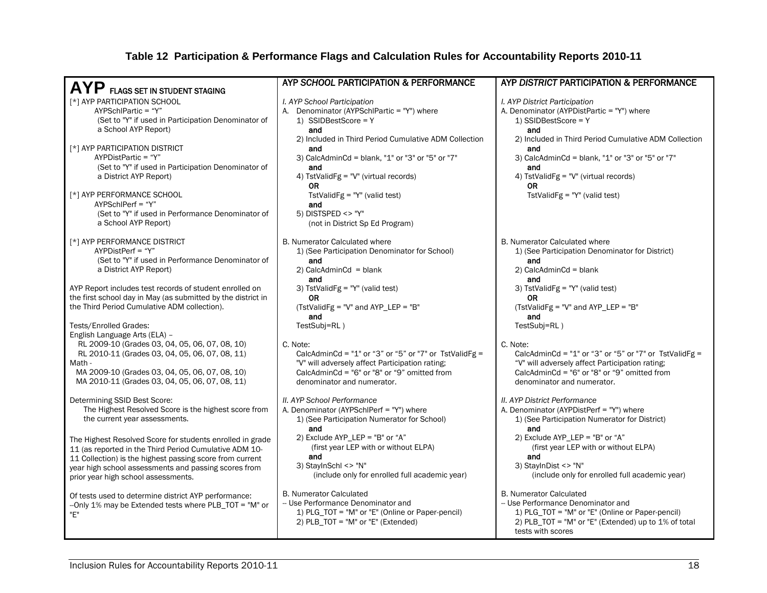|                                                                                                  | AYP SCHOOL PARTICIPATION & PERFORMANCE                                                 | AYP DISTRICT PARTICIPATION & PERFORMANCE                                               |  |  |
|--------------------------------------------------------------------------------------------------|----------------------------------------------------------------------------------------|----------------------------------------------------------------------------------------|--|--|
| AYP FLAGS SET IN STUDENT STAGING                                                                 |                                                                                        |                                                                                        |  |  |
| [*] AYP PARTICIPATION SCHOOL                                                                     | I. AYP School Participation                                                            | I. AYP District Participation                                                          |  |  |
| AYPSchlPartic = "Y"                                                                              | A. Denominator (AYPSchlPartic = "Y") where                                             | A. Denominator (AYPDistPartic = "Y") where                                             |  |  |
| (Set to "Y" if used in Participation Denominator of                                              | 1) $SSIDBestScore = Y$                                                                 | 1) SSIDBestScore = $Y$                                                                 |  |  |
| a School AYP Report)                                                                             | and                                                                                    | and                                                                                    |  |  |
|                                                                                                  | 2) Included in Third Period Cumulative ADM Collection                                  | 2) Included in Third Period Cumulative ADM Collection                                  |  |  |
| [*] AYP PARTICIPATION DISTRICT                                                                   | and                                                                                    | and                                                                                    |  |  |
| AYPDistPartic = "Y"                                                                              | 3) CalcAdminCd = blank, "1" or "3" or "5" or "7"                                       | 3) CalcAdminCd = blank, "1" or "3" or "5" or "7"                                       |  |  |
| (Set to "Y" if used in Participation Denominator of<br>a District AYP Report)                    | and<br>4) TstValidFg = "V" (virtual records)                                           | and<br>4) TstValidFg = "V" (virtual records)                                           |  |  |
|                                                                                                  | 0R                                                                                     | OR.                                                                                    |  |  |
| [*] AYP PERFORMANCE SCHOOL                                                                       | TstValidFg = "Y" (valid test)                                                          | TstValidFg = "Y" (valid test)                                                          |  |  |
| $AYPSchIPerf = "Y"$                                                                              | and                                                                                    |                                                                                        |  |  |
| (Set to "Y" if used in Performance Denominator of                                                | 5) DISTSPED <> "Y"                                                                     |                                                                                        |  |  |
| a School AYP Report)                                                                             | (not in District Sp Ed Program)                                                        |                                                                                        |  |  |
|                                                                                                  |                                                                                        |                                                                                        |  |  |
| [*] AYP PERFORMANCE DISTRICT                                                                     | <b>B. Numerator Calculated where</b>                                                   | <b>B. Numerator Calculated where</b>                                                   |  |  |
| $AYPDistPerf = "Y"$                                                                              | 1) (See Participation Denominator for School)                                          | 1) (See Participation Denominator for District)                                        |  |  |
| (Set to "Y" if used in Performance Denominator of                                                | and                                                                                    | and                                                                                    |  |  |
| a District AYP Report)                                                                           | $2)$ CalcAdminCd = blank                                                               | $2)$ CalcAdminCd = blank                                                               |  |  |
|                                                                                                  | and                                                                                    | and                                                                                    |  |  |
| AYP Report includes test records of student enrolled on                                          | 3) TstValidFg = "Y" (valid test)                                                       | 3) TstValidFg = "Y" (valid test)                                                       |  |  |
| the first school day in May (as submitted by the district in                                     | 0R                                                                                     | OR.                                                                                    |  |  |
| the Third Period Cumulative ADM collection).                                                     | (TstValidFg = "V" and AYP_LEP = "B"                                                    | (TstValidFg = "V" and AYP_LEP = "B"                                                    |  |  |
|                                                                                                  | and                                                                                    | and                                                                                    |  |  |
| Tests/Enrolled Grades:                                                                           | TestSubj=RL)                                                                           | TestSubj=RL)                                                                           |  |  |
| English Language Arts (ELA) -                                                                    |                                                                                        |                                                                                        |  |  |
| RL 2009-10 (Grades 03, 04, 05, 06, 07, 08, 10)<br>RL 2010-11 (Grades 03, 04, 05, 06, 07, 08, 11) | C. Note:<br>CalcAdminCd = "1" or "3" or "5" or "7" or TstValidFg =                     | C. Note:<br>CalcAdminCd = "1" or "3" or "5" or "7" or TstValidFg =                     |  |  |
| Math -                                                                                           | "V" will adversely affect Participation rating;                                        | "V" will adversely affect Participation rating:                                        |  |  |
| MA 2009-10 (Grades 03, 04, 05, 06, 07, 08, 10)                                                   | CalcAdminCd = $"6"$ or $"8"$ or $"9"$ omitted from                                     | CalcAdminCd = $"6"$ or $"8"$ or $"9"$ omitted from                                     |  |  |
| MA 2010-11 (Grades 03, 04, 05, 06, 07, 08, 11)                                                   | denominator and numerator.                                                             | denominator and numerator.                                                             |  |  |
|                                                                                                  |                                                                                        |                                                                                        |  |  |
| Determining SSID Best Score:                                                                     | II. AYP School Performance                                                             | II. AYP District Performance                                                           |  |  |
| The Highest Resolved Score is the highest score from                                             | A. Denominator (AYPSchlPerf = "Y") where                                               | A. Denominator (AYPDistPerf = "Y") where                                               |  |  |
| the current year assessments.                                                                    | 1) (See Participation Numerator for School)                                            | 1) (See Participation Numerator for District)                                          |  |  |
|                                                                                                  | and                                                                                    | and                                                                                    |  |  |
| The Highest Resolved Score for students enrolled in grade                                        | 2) Exclude AYP_LEP = "B" or "A"                                                        | 2) Exclude $AYP$ <sub>-LEP</sub> = "B" or "A"                                          |  |  |
| 11 (as reported in the Third Period Cumulative ADM 10-                                           | (first year LEP with or without ELPA)                                                  | (first year LEP with or without ELPA)                                                  |  |  |
| 11 Collection) is the highest passing score from current                                         | and                                                                                    | and                                                                                    |  |  |
| year high school assessments and passing scores from                                             | 3) StayInSchl <> "N"                                                                   | 3) StayInDist <> "N"                                                                   |  |  |
| prior year high school assessments.                                                              | (include only for enrolled full academic year)                                         | (include only for enrolled full academic year)                                         |  |  |
|                                                                                                  |                                                                                        |                                                                                        |  |  |
| Of tests used to determine district AYP performance:                                             | <b>B. Numerator Calculated</b>                                                         | <b>B. Numerator Calculated</b>                                                         |  |  |
| -- Only 1% may be Extended tests where PLB_TOT = "M" or                                          | -- Use Performance Denominator and<br>1) PLG_TOT = "M" or "E" (Online or Paper-pencil) | -- Use Performance Denominator and<br>1) PLG_TOT = "M" or "E" (Online or Paper-pencil) |  |  |
| "F"                                                                                              | 2) $PLB_TOT = "M" or "E" (Extended)$                                                   | 2) PLB_TOT = "M" or "E" (Extended) up to 1% of total                                   |  |  |
|                                                                                                  |                                                                                        | tests with scores                                                                      |  |  |
|                                                                                                  |                                                                                        |                                                                                        |  |  |

## **Table 12 Participation & Performance Flags and Calculation Rules for Accountability Reports 2010-11**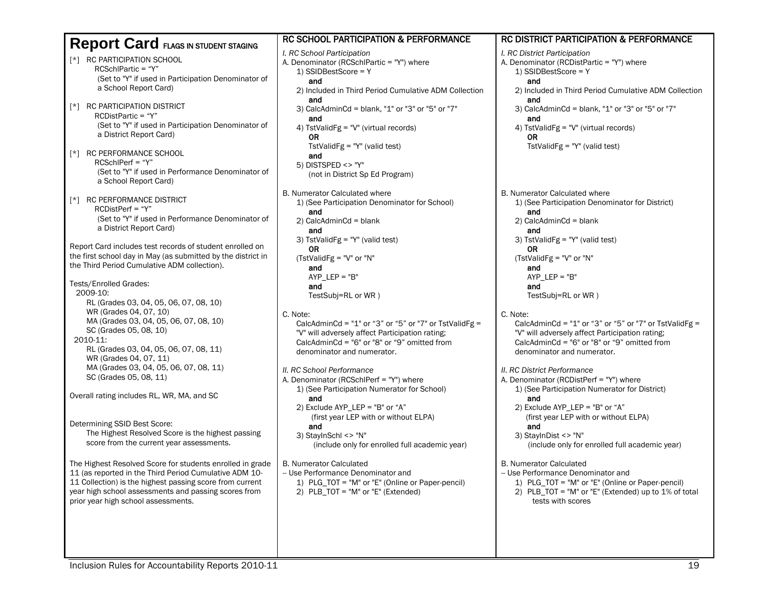| <b>Report Card FLAGS IN STUDENT STAGING</b>                                                                              | <b>RC SCHOOL PARTICIPATION &amp; PERFORMANCE</b>                                       | <b>RC DISTRICT PARTICIPATION &amp; PERFORMANCE</b>                                                       |
|--------------------------------------------------------------------------------------------------------------------------|----------------------------------------------------------------------------------------|----------------------------------------------------------------------------------------------------------|
|                                                                                                                          | I. RC School Participation                                                             | I. RC District Participation                                                                             |
| [*] RC PARTICIPATION SCHOOL                                                                                              | A. Denominator (RCSchlPartic = "Y") where                                              | A. Denominator (RCDistPartic = "Y") where                                                                |
| $RCSchIPartic = "Y"$<br>(Set to "Y" if used in Participation Denominator of                                              | 1) SSIDBestScore = Y                                                                   | 1) SSIDBestScore = Y                                                                                     |
| a School Report Card)                                                                                                    | and                                                                                    | and                                                                                                      |
|                                                                                                                          | 2) Included in Third Period Cumulative ADM Collection<br>and                           | 2) Included in Third Period Cumulative ADM Collection<br>and                                             |
| [*] RC PARTICIPATION DISTRICT                                                                                            | 3) CalcAdminCd = blank, "1" or "3" or "5" or "7"                                       | 3) CalcAdminCd = blank, "1" or "3" or "5" or "7"                                                         |
| $RCDistPartic = "Y"$                                                                                                     | and                                                                                    | and                                                                                                      |
| (Set to "Y" if used in Participation Denominator of<br>a District Report Card)                                           | 4) TstValidFg = "V" (virtual records)                                                  | 4) TstValidFg = "V" (virtual records)                                                                    |
|                                                                                                                          | 0R                                                                                     | 0R                                                                                                       |
| [*] RC PERFORMANCE SCHOOL                                                                                                | TstValidFg = "Y" (valid test)<br>and                                                   | TstValidFg = $"Y"$ (valid test)                                                                          |
| $RCSchIPerf = "Y"$                                                                                                       | 5) DISTSPED <> "Y"                                                                     |                                                                                                          |
| (Set to "Y" if used in Performance Denominator of                                                                        | (not in District Sp Ed Program)                                                        |                                                                                                          |
| a School Report Card)                                                                                                    |                                                                                        |                                                                                                          |
| [*] RC PERFORMANCE DISTRICT                                                                                              | <b>B. Numerator Calculated where</b>                                                   | B. Numerator Calculated where                                                                            |
| $RCDistPerf = "Y"$                                                                                                       | 1) (See Participation Denominator for School)                                          | 1) (See Participation Denominator for District)                                                          |
| (Set to "Y" if used in Performance Denominator of                                                                        | and<br>$2)$ CalcAdminCd = blank                                                        | and<br>$2)$ CalcAdminCd = blank                                                                          |
| a District Report Card)                                                                                                  | and                                                                                    | and                                                                                                      |
|                                                                                                                          | 3) TstValidFg = "Y" (valid test)                                                       | 3) $TstValidFg = "Y" (valid test)$                                                                       |
| Report Card includes test records of student enrolled on<br>the first school day in May (as submitted by the district in | ΟR                                                                                     | 0R                                                                                                       |
| the Third Period Cumulative ADM collection).                                                                             | (TstValidFg = "V" or "N"                                                               | (TstValidFg = "V" or "N"                                                                                 |
|                                                                                                                          | and<br>$AYP$ _LEP = "B"                                                                | and<br>$AYP$ _LEP = "B"                                                                                  |
| Tests/Enrolled Grades:                                                                                                   | and                                                                                    | and                                                                                                      |
| 2009-10:                                                                                                                 | TestSubj=RL or WR)                                                                     | TestSubj=RL or WR)                                                                                       |
| RL (Grades 03, 04, 05, 06, 07, 08, 10)<br>WR (Grades 04, 07, 10)                                                         |                                                                                        |                                                                                                          |
| MA (Grades 03, 04, 05, 06, 07, 08, 10)                                                                                   | C. Note:<br>CalcAdminCd = "1" or "3" or "5" or "7" or TstValidFg =                     | C. Note:<br>CalcAdminCd = "1" or "3" or "5" or "7" or TstValidFg =                                       |
| SC (Grades 05, 08, 10)                                                                                                   | "V" will adversely affect Participation rating;                                        | "V" will adversely affect Participation rating;                                                          |
| 2010-11:                                                                                                                 | CalcAdminCd = $"6"$ or $"8"$ or $"9"$ omitted from                                     | CalcAdminCd = $"6"$ or $"8"$ or $"9"$ omitted from                                                       |
| RL (Grades 03, 04, 05, 06, 07, 08, 11)                                                                                   | denominator and numerator.                                                             | denominator and numerator.                                                                               |
| WR (Grades 04, 07, 11)<br>MA (Grades 03, 04, 05, 06, 07, 08, 11)                                                         |                                                                                        |                                                                                                          |
| SC (Grades 05, 08, 11)                                                                                                   | II. RC School Performance<br>A. Denominator (RCSchlPerf = "Y") where                   | II. RC District Performance<br>A. Denominator (RCDistPerf = "Y") where                                   |
|                                                                                                                          | 1) (See Participation Numerator for School)                                            | 1) (See Participation Numerator for District)                                                            |
| Overall rating includes RL, WR, MA, and SC                                                                               | and                                                                                    | and                                                                                                      |
|                                                                                                                          | 2) Exclude $AYP$ <sub>-LEP</sub> = "B" or "A"                                          | 2) Exclude AYP_LEP = "B" or "A"                                                                          |
| Determining SSID Best Score:                                                                                             | (first year LEP with or without ELPA)                                                  | (first year LEP with or without ELPA)                                                                    |
| The Highest Resolved Score is the highest passing                                                                        | and<br>3) StayInSchl <> "N"                                                            | and<br>3) StayInDist <> "N"                                                                              |
| score from the current year assessments.                                                                                 | (include only for enrolled full academic year)                                         | (include only for enrolled full academic year)                                                           |
|                                                                                                                          |                                                                                        |                                                                                                          |
| The Highest Resolved Score for students enrolled in grade                                                                | <b>B. Numerator Calculated</b>                                                         | <b>B. Numerator Calculated</b>                                                                           |
| 11 (as reported in the Third Period Cumulative ADM 10-                                                                   | -- Use Performance Denominator and                                                     | -- Use Performance Denominator and                                                                       |
| 11 Collection) is the highest passing score from current<br>year high school assessments and passing scores from         | 1) PLG_TOT = "M" or "E" (Online or Paper-pencil)<br>2) PLB_TOT = "M" or "E" (Extended) | 1) PLG_TOT = "M" or "E" (Online or Paper-pencil)<br>2) PLB_TOT = "M" or "E" (Extended) up to 1% of total |
| prior year high school assessments.                                                                                      |                                                                                        | tests with scores                                                                                        |
|                                                                                                                          |                                                                                        |                                                                                                          |
|                                                                                                                          |                                                                                        |                                                                                                          |
|                                                                                                                          |                                                                                        |                                                                                                          |
|                                                                                                                          |                                                                                        |                                                                                                          |
|                                                                                                                          |                                                                                        |                                                                                                          |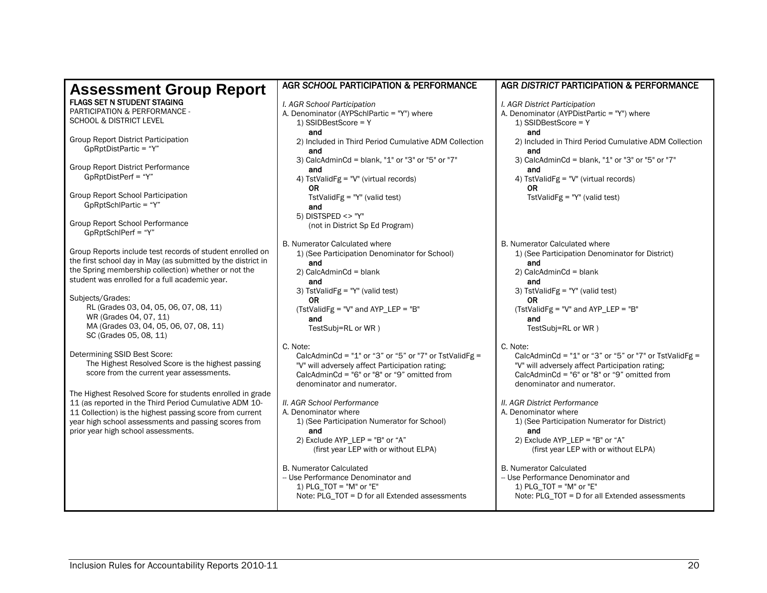|                                                              | <b>AGR SCHOOL PARTICIPATION &amp; PERFORMANCE</b>      | <b>AGR DISTRICT PARTICIPATION &amp; PERFORMANCE</b>    |  |
|--------------------------------------------------------------|--------------------------------------------------------|--------------------------------------------------------|--|
| <b>Assessment Group Report</b>                               |                                                        |                                                        |  |
| <b>FLAGS SET N STUDENT STAGING</b>                           | I. AGR School Participation                            | I. AGR District Participation                          |  |
| PARTICIPATION & PERFORMANCE -                                | A. Denominator (AYPSchlPartic = "Y") where             | A. Denominator (AYPDistPartic = "Y") where             |  |
| <b>SCHOOL &amp; DISTRICT LEVEL</b>                           |                                                        |                                                        |  |
|                                                              | 1) SSIDBestScore = Y                                   | 1) SSIDBestScore = Y                                   |  |
| <b>Group Report District Participation</b>                   | and                                                    | and                                                    |  |
| GpRptDistPartic = "Y"                                        | 2) Included in Third Period Cumulative ADM Collection  | 2) Included in Third Period Cumulative ADM Collection  |  |
|                                                              | and                                                    | and                                                    |  |
| Group Report District Performance                            | 3) CalcAdminCd = blank, "1" or "3" or "5" or "7"       | 3) CalcAdminCd = blank, "1" or "3" or "5" or "7"       |  |
| GpRptDistPerf = "Y"                                          | and                                                    | and                                                    |  |
|                                                              | 4) TstValidFg = "V" (virtual records)                  | 4) TstValidFg = "V" (virtual records)                  |  |
|                                                              | <b>OR</b>                                              | 0R.                                                    |  |
| Group Report School Participation                            | TstValidFg = $"Y"$ (valid test)                        | TstValidFg = "Y" (valid test)                          |  |
| GpRptSchlPartic = "Y"                                        | and                                                    |                                                        |  |
|                                                              | 5) DISTSPED <> "Y"                                     |                                                        |  |
| Group Report School Performance                              | (not in District Sp Ed Program)                        |                                                        |  |
| GpRptSchlPerf = "Y"                                          |                                                        |                                                        |  |
|                                                              | B. Numerator Calculated where                          | <b>B. Numerator Calculated where</b>                   |  |
| Group Reports include test records of student enrolled on    | 1) (See Participation Denominator for School)          | 1) (See Participation Denominator for District)        |  |
| the first school day in May (as submitted by the district in | and                                                    | and                                                    |  |
| the Spring membership collection) whether or not the         | $2)$ CalcAdminCd = blank                               | 2) CalcAdminCd = blank                                 |  |
| student was enrolled for a full academic year.               | and                                                    | and                                                    |  |
|                                                              | 3) TstValidFg = " $Y''$ (valid test)                   | 3) TstValidFg = " $Y''$ (valid test)                   |  |
| Subjects/Grades:                                             | <b>OR</b>                                              | 0R.                                                    |  |
| RL (Grades 03, 04, 05, 06, 07, 08, 11)                       | (TstValidFg = "V" and AYP_LEP = "B"                    | (TstValidFg = "V" and AYP_LEP = "B"                    |  |
| WR (Grades 04, 07, 11)                                       | and                                                    | and                                                    |  |
| MA (Grades 03, 04, 05, 06, 07, 08, 11)                       | TestSubj=RL or WR)                                     | TestSubj=RL or WR)                                     |  |
| SC (Grades 05, 08, 11)                                       |                                                        |                                                        |  |
|                                                              | C. Note:                                               | C. Note:                                               |  |
| Determining SSID Best Score:                                 | CalcAdminCd = "1" or "3" or "5" or "7" or TstValidFg = | CalcAdminCd = "1" or "3" or "5" or "7" or TstValidFg = |  |
| The Highest Resolved Score is the highest passing            | "V" will adversely affect Participation rating;        | "V" will adversely affect Participation rating;        |  |
| score from the current year assessments.                     | CalcAdminCd = $"6"$ or $"8"$ or $"9"$ omitted from     | CalcAdminCd = $"6"$ or $"8"$ or $"9"$ omitted from     |  |
|                                                              | denominator and numerator.                             | denominator and numerator.                             |  |
| The Highest Resolved Score for students enrolled in grade    |                                                        |                                                        |  |
| 11 (as reported in the Third Period Cumulative ADM 10-       | II. AGR School Performance                             | II. AGR District Performance                           |  |
| 11 Collection) is the highest passing score from current     | A. Denominator where                                   | A. Denominator where                                   |  |
| year high school assessments and passing scores from         | 1) (See Participation Numerator for School)            | 1) (See Participation Numerator for District)          |  |
| prior year high school assessments.                          | and                                                    | and                                                    |  |
|                                                              | 2) Exclude AYP_LEP = "B" or "A"                        | 2) Exclude AYP_LEP = "B" or "A"                        |  |
|                                                              | (first year LEP with or without ELPA)                  | (first year LEP with or without ELPA)                  |  |
|                                                              |                                                        |                                                        |  |
|                                                              | <b>B. Numerator Calculated</b>                         | <b>B. Numerator Calculated</b>                         |  |
|                                                              | -- Use Performance Denominator and                     | -- Use Performance Denominator and                     |  |
|                                                              | 1) $PLG_TOT = "M" or "E"$                              | 1) PLG_TOT = "M" or "E"                                |  |
|                                                              | Note: PLG_TOT = D for all Extended assessments         | Note: PLG_TOT = D for all Extended assessments         |  |
|                                                              |                                                        |                                                        |  |